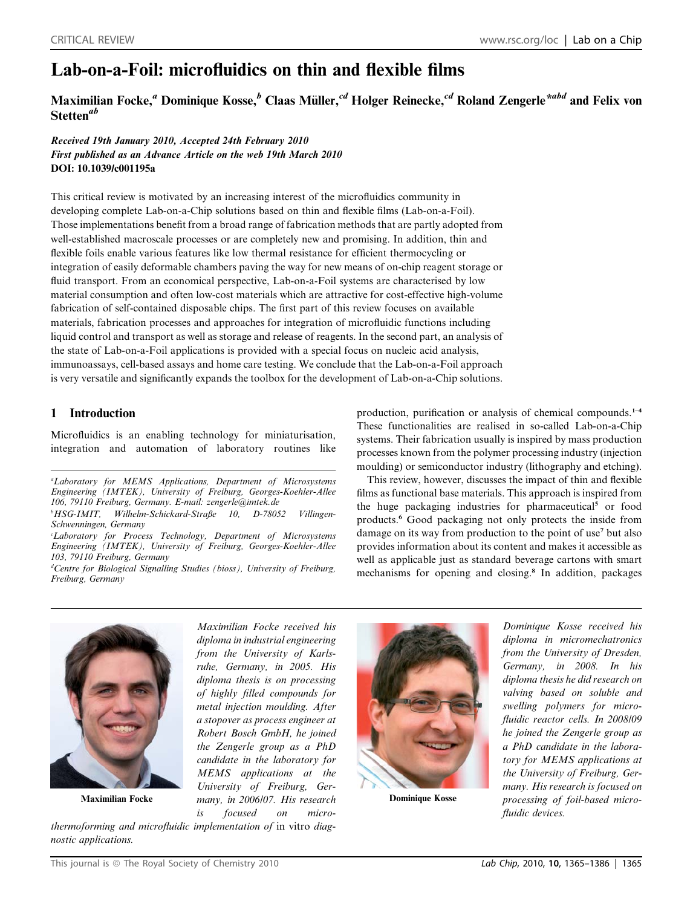# Lab-on-a-Foil: microfluidics on thin and flexible films

Maximilian Focke,<sup>a</sup> Dominique Kosse,<sup>b</sup> Claas Müller,<sup>cd</sup> Holger Reinecke,<sup>cd</sup> Roland Zengerle<sup>\*abd</sup> and Felix von Stetten<sup>ab</sup>

Received 19th January 2010, Accepted 24th February 2010 First published as an Advance Article on the web 19th March 2010 DOI: 10.1039/c001195a

This critical review is motivated by an increasing interest of the microfluidics community in developing complete Lab-on-a-Chip solutions based on thin and flexible films (Lab-on-a-Foil). Those implementations benefit from a broad range of fabrication methods that are partly adopted from well-established macroscale processes or are completely new and promising. In addition, thin and flexible foils enable various features like low thermal resistance for efficient thermocycling or integration of easily deformable chambers paving the way for new means of on-chip reagent storage or fluid transport. From an economical perspective, Lab-on-a-Foil systems are characterised by low material consumption and often low-cost materials which are attractive for cost-effective high-volume fabrication of self-contained disposable chips. The first part of this review focuses on available materials, fabrication processes and approaches for integration of microfluidic functions including liquid control and transport as well as storage and release of reagents. In the second part, an analysis of the state of Lab-on-a-Foil applications is provided with a special focus on nucleic acid analysis, immunoassays, cell-based assays and home care testing. We conclude that the Lab-on-a-Foil approach is very versatile and significantly expands the toolbox for the development of Lab-on-a-Chip solutions.

# 1 Introduction

Microfluidics is an enabling technology for miniaturisation, integration and automation of laboratory routines like

a Laboratory for MEMS Applications, Department of Microsystems Engineering (IMTEK), University of Freiburg, Georges-Koehler-Allee 106, 79110 Freiburg, Germany. E-mail: zengerle@imtek.de

c Laboratory for Process Technology, Department of Microsystems Engineering (IMTEK), University of Freiburg, Georges-Koehler-Allee 103, 79110 Freiburg, Germany

<sup>d</sup>Centre for Biological Signalling Studies (bioss), University of Freiburg, Freiburg, Germany

production, purification or analysis of chemical compounds.<sup>1-4</sup> These functionalities are realised in so-called Lab-on-a-Chip systems. Their fabrication usually is inspired by mass production processes known from the polymer processing industry (injection moulding) or semiconductor industry (lithography and etching).

This review, however, discusses the impact of thin and flexible films as functional base materials. This approach is inspired from the huge packaging industries for pharmaceutical<sup>5</sup> or food products.<sup>6</sup> Good packaging not only protects the inside from damage on its way from production to the point of use<sup>7</sup> but also provides information about its content and makes it accessible as well as applicable just as standard beverage cartons with smart mechanisms for opening and closing.<sup>8</sup> In addition, packages



Maximilian Focke

is focused on microthermoforming and microfluidic implementation of in vitro diagnostic applications.





Dominique Kosse

Dominique Kosse received his diploma in micromechatronics from the University of Dresden, Germany, in 2008. In his diploma thesis he did research on valving based on soluble and swelling polymers for microfluidic reactor cells. In 2008/09 he joined the Zengerle group as a PhD candidate in the laboratory for MEMS applications at the University of Freiburg, Germany. His research is focused on processing of foil-based microfluidic devices.

b HSG-IMIT, Wilhelm-Schickard-Straße 10, D-78052 Villingen-Schwenningen, Germany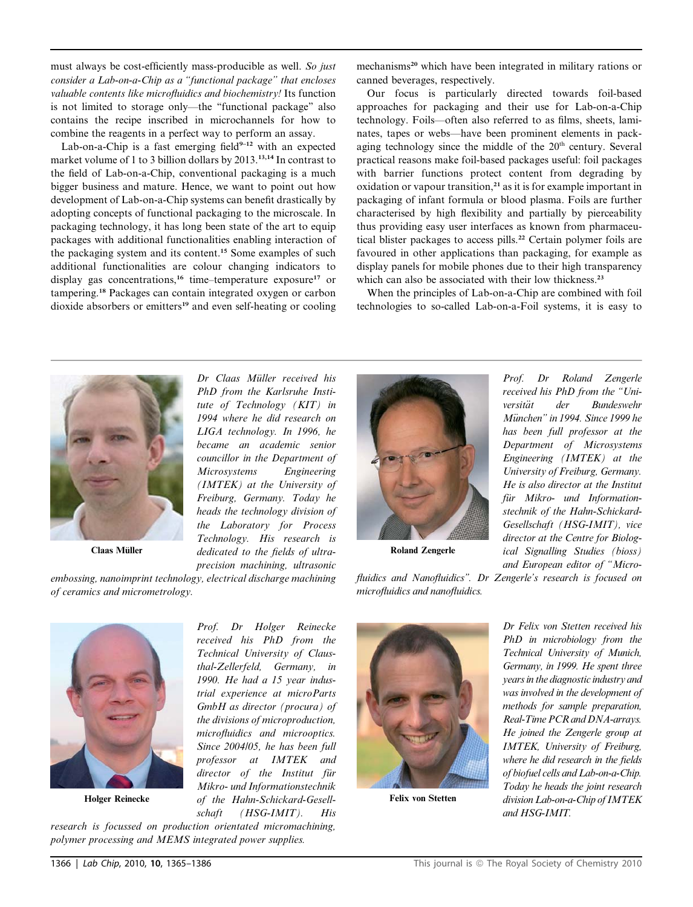must always be cost-efficiently mass-producible as well. So just consider a Lab-on-a-Chip as a ''functional package'' that encloses valuable contents like microfluidics and biochemistry! Its function is not limited to storage only—the ''functional package'' also contains the recipe inscribed in microchannels for how to combine the reagents in a perfect way to perform an assay.

Lab-on-a-Chip is a fast emerging field $9-12$  with an expected market volume of 1 to 3 billion dollars by 2013.13,14 In contrast to the field of Lab-on-a-Chip, conventional packaging is a much bigger business and mature. Hence, we want to point out how development of Lab-on-a-Chip systems can benefit drastically by adopting concepts of functional packaging to the microscale. In packaging technology, it has long been state of the art to equip packages with additional functionalities enabling interaction of the packaging system and its content.<sup>15</sup> Some examples of such additional functionalities are colour changing indicators to display gas concentrations,<sup>16</sup> time–temperature exposure<sup>17</sup> or tampering.<sup>18</sup> Packages can contain integrated oxygen or carbon dioxide absorbers or emitters<sup>19</sup> and even self-heating or cooling

mechanisms<sup>20</sup> which have been integrated in military rations or canned beverages, respectively.

Our focus is particularly directed towards foil-based approaches for packaging and their use for Lab-on-a-Chip technology. Foils—often also referred to as films, sheets, laminates, tapes or webs—have been prominent elements in packaging technology since the middle of the 20<sup>th</sup> century. Several practical reasons make foil-based packages useful: foil packages with barrier functions protect content from degrading by oxidation or vapour transition,<sup>21</sup> as it is for example important in packaging of infant formula or blood plasma. Foils are further characterised by high flexibility and partially by pierceability thus providing easy user interfaces as known from pharmaceutical blister packages to access pills.<sup>22</sup> Certain polymer foils are favoured in other applications than packaging, for example as display panels for mobile phones due to their high transparency which can also be associated with their low thickness.<sup>23</sup>

When the principles of Lab-on-a-Chip are combined with foil technologies to so-called Lab-on-a-Foil systems, it is easy to



Claas Müller

of ceramics and micrometrology.

Dr Claas Müller received his PhD from the Karlsruhe Institute of Technology (KIT) in 1994 where he did research on LIGA technology. In 1996, he became an academic senior councillor in the Department of Microsystems Engineering (IMTEK) at the University of Freiburg, Germany. Today he heads the technology division of the Laboratory for Process Technology. His research is dedicated to the fields of ultraprecision machining, ultrasonic

Roland Zengerle

Prof. Dr Roland Zengerle received his PhD from the ''Universität der Bundeswehr München" in 1994. Since 1999 he has been full professor at the Department of Microsystems Engineering (IMTEK) at the University of Freiburg, Germany. He is also director at the Institut für Mikro- und Informationstechnik of the Hahn-Schickard-Gesellschaft (HSG-IMIT), vice director at the Centre for Biological Signalling Studies (bioss) and European editor of ''Micro-

fluidics and Nanofluidics''. Dr Zengerle's research is focused on microfluidics and nanofluidics.



Holger Reinecke

Prof. Dr Holger Reinecke received his PhD from the Technical University of Clausthal-Zellerfeld, Germany, in 1990. He had a 15 year industrial experience at microParts GmbH as director (procura) of the divisions of microproduction, microfluidics and microoptics. Since 2004/05, he has been full professor at IMTEK and  $directory of the Institute für$ Mikro- und Informationstechnik of the Hahn-Schickard-Gesellschaft (HSG-IMIT). His

research is focussed on production orientated micromachining, polymer processing and MEMS integrated power supplies.

embossing, nanoimprint technology, electrical discharge machining



Felix von Stetten

Dr Felix von Stetten received his PhD in microbiology from the Technical University of Munich, Germany, in 1999. He spent three years in the diagnostic industry and was involved in the development of methods for sample preparation, Real-Time PCR and DNA-arrays. He joined the Zengerle group at IMTEK, University of Freiburg, where he did research in the fields of biofuel cells and Lab-on-a-Chip. Today he heads the joint research division Lab-on-a-Chip of IMTEK and HSG-IMIT.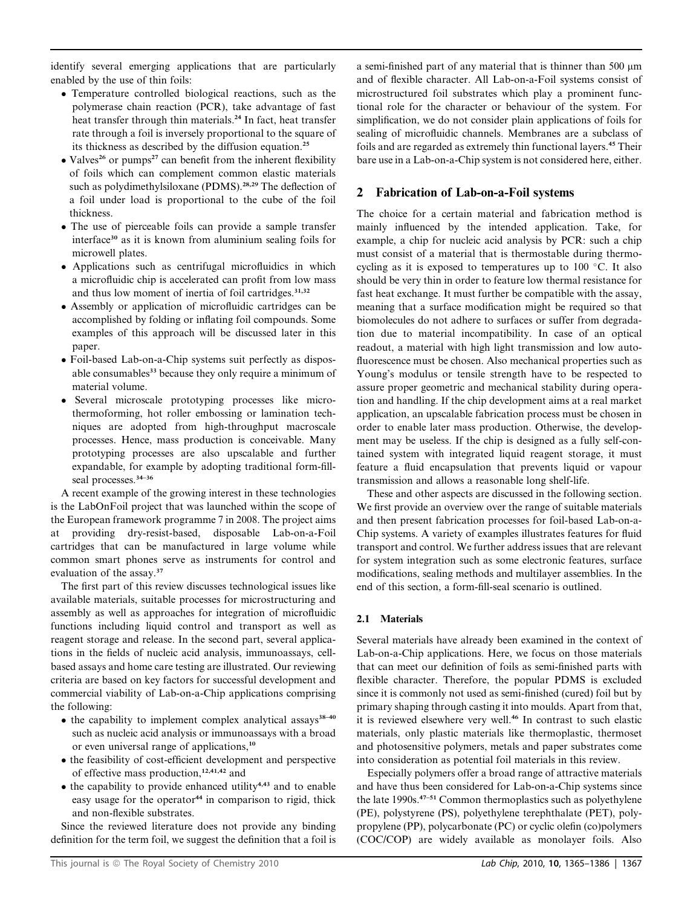identify several emerging applications that are particularly enabled by the use of thin foils:

- Temperature controlled biological reactions, such as the polymerase chain reaction (PCR), take advantage of fast heat transfer through thin materials.<sup>24</sup> In fact, heat transfer rate through a foil is inversely proportional to the square of its thickness as described by the diffusion equation.<sup>25</sup>
- $\bullet$  Valves<sup>26</sup> or pumps<sup>27</sup> can benefit from the inherent flexibility of foils which can complement common elastic materials such as polydimethylsiloxane (PDMS).<sup>28,29</sup> The deflection of a foil under load is proportional to the cube of the foil thickness.
- The use of pierceable foils can provide a sample transfer interface<sup>30</sup> as it is known from aluminium sealing foils for microwell plates.
- Applications such as centrifugal microfluidics in which a microfluidic chip is accelerated can profit from low mass and thus low moment of inertia of foil cartridges.<sup>31,32</sup>
- Assembly or application of microfluidic cartridges can be accomplished by folding or inflating foil compounds. Some examples of this approach will be discussed later in this paper.
- Foil-based Lab-on-a-Chip systems suit perfectly as disposable consumables<sup>33</sup> because they only require a minimum of material volume.
- Several microscale prototyping processes like microthermoforming, hot roller embossing or lamination techniques are adopted from high-throughput macroscale processes. Hence, mass production is conceivable. Many prototyping processes are also upscalable and further expandable, for example by adopting traditional form-fillseal processes.<sup>34-36</sup>

A recent example of the growing interest in these technologies is the LabOnFoil project that was launched within the scope of the European framework programme 7 in 2008. The project aims at providing dry-resist-based, disposable Lab-on-a-Foil cartridges that can be manufactured in large volume while common smart phones serve as instruments for control and evaluation of the assay.<sup>37</sup>

The first part of this review discusses technological issues like available materials, suitable processes for microstructuring and assembly as well as approaches for integration of microfluidic functions including liquid control and transport as well as reagent storage and release. In the second part, several applications in the fields of nucleic acid analysis, immunoassays, cellbased assays and home care testing are illustrated. Our reviewing criteria are based on key factors for successful development and commercial viability of Lab-on-a-Chip applications comprising the following:

- the capability to implement complex analytical assays<sup>38-40</sup> such as nucleic acid analysis or immunoassays with a broad or even universal range of applications,<sup>10</sup>
- the feasibility of cost-efficient development and perspective of effective mass production,<sup>12,41,42</sup> and
- the capability to provide enhanced utility<sup>4,43</sup> and to enable easy usage for the operator<sup>44</sup> in comparison to rigid, thick and non-flexible substrates.

Since the reviewed literature does not provide any binding definition for the term foil, we suggest the definition that a foil is

a semi-finished part of any material that is thinner than 500  $\mu$ m and of flexible character. All Lab-on-a-Foil systems consist of microstructured foil substrates which play a prominent functional role for the character or behaviour of the system. For simplification, we do not consider plain applications of foils for sealing of microfluidic channels. Membranes are a subclass of foils and are regarded as extremely thin functional layers.<sup>45</sup> Their bare use in a Lab-on-a-Chip system is not considered here, either.

# 2 Fabrication of Lab-on-a-Foil systems

The choice for a certain material and fabrication method is mainly influenced by the intended application. Take, for example, a chip for nucleic acid analysis by PCR: such a chip must consist of a material that is thermostable during thermocycling as it is exposed to temperatures up to  $100^{\circ}$ C. It also should be very thin in order to feature low thermal resistance for fast heat exchange. It must further be compatible with the assay, meaning that a surface modification might be required so that biomolecules do not adhere to surfaces or suffer from degradation due to material incompatibility. In case of an optical readout, a material with high light transmission and low autofluorescence must be chosen. Also mechanical properties such as Young's modulus or tensile strength have to be respected to assure proper geometric and mechanical stability during operation and handling. If the chip development aims at a real market application, an upscalable fabrication process must be chosen in order to enable later mass production. Otherwise, the development may be useless. If the chip is designed as a fully self-contained system with integrated liquid reagent storage, it must feature a fluid encapsulation that prevents liquid or vapour transmission and allows a reasonable long shelf-life.

These and other aspects are discussed in the following section. We first provide an overview over the range of suitable materials and then present fabrication processes for foil-based Lab-on-a-Chip systems. A variety of examples illustrates features for fluid transport and control. We further address issues that are relevant for system integration such as some electronic features, surface modifications, sealing methods and multilayer assemblies. In the end of this section, a form-fill-seal scenario is outlined.

# 2.1 Materials

Several materials have already been examined in the context of Lab-on-a-Chip applications. Here, we focus on those materials that can meet our definition of foils as semi-finished parts with flexible character. Therefore, the popular PDMS is excluded since it is commonly not used as semi-finished (cured) foil but by primary shaping through casting it into moulds. Apart from that, it is reviewed elsewhere very well.<sup>46</sup> In contrast to such elastic materials, only plastic materials like thermoplastic, thermoset and photosensitive polymers, metals and paper substrates come into consideration as potential foil materials in this review.

Especially polymers offer a broad range of attractive materials and have thus been considered for Lab-on-a-Chip systems since the late 1990s.47–51 Common thermoplastics such as polyethylene (PE), polystyrene (PS), polyethylene terephthalate (PET), polypropylene (PP), polycarbonate (PC) or cyclic olefin (co)polymers (COC/COP) are widely available as monolayer foils. Also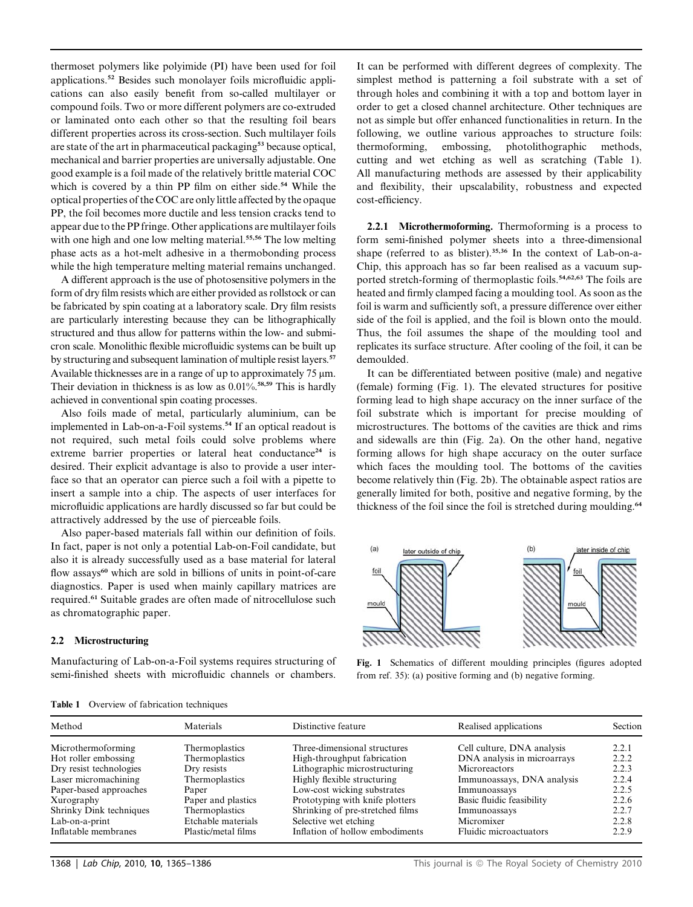thermoset polymers like polyimide (PI) have been used for foil applications.<sup>52</sup> Besides such monolayer foils microfluidic applications can also easily benefit from so-called multilayer or compound foils. Two or more different polymers are co-extruded or laminated onto each other so that the resulting foil bears different properties across its cross-section. Such multilayer foils are state of the art in pharmaceutical packaging<sup>53</sup> because optical, mechanical and barrier properties are universally adjustable. One good example is a foil made of the relatively brittle material COC which is covered by a thin PP film on either side.<sup>54</sup> While the optical properties of the COC are only little affected by the opaque PP, the foil becomes more ductile and less tension cracks tend to appear due to the PP fringe. Other applications are multilayer foils with one high and one low melting material.<sup>55,56</sup> The low melting phase acts as a hot-melt adhesive in a thermobonding process while the high temperature melting material remains unchanged.

A different approach is the use of photosensitive polymers in the form of dry film resists which are either provided as rollstock or can be fabricated by spin coating at a laboratory scale. Dry film resists are particularly interesting because they can be lithographically structured and thus allow for patterns within the low- and submicron scale. Monolithic flexible microfluidic systems can be built up by structuring and subsequent lamination of multiple resist layers.<sup>57</sup> Available thicknesses are in a range of up to approximately  $75 \mu m$ . Their deviation in thickness is as low as  $0.01\%$ .<sup>58,59</sup> This is hardly achieved in conventional spin coating processes.

Also foils made of metal, particularly aluminium, can be implemented in Lab-on-a-Foil systems.<sup>54</sup> If an optical readout is not required, such metal foils could solve problems where extreme barrier properties or lateral heat conductance<sup>24</sup> is desired. Their explicit advantage is also to provide a user interface so that an operator can pierce such a foil with a pipette to insert a sample into a chip. The aspects of user interfaces for microfluidic applications are hardly discussed so far but could be attractively addressed by the use of pierceable foils.

Also paper-based materials fall within our definition of foils. In fact, paper is not only a potential Lab-on-Foil candidate, but also it is already successfully used as a base material for lateral flow assays<sup>60</sup> which are sold in billions of units in point-of-care diagnostics. Paper is used when mainly capillary matrices are required.<sup>61</sup> Suitable grades are often made of nitrocellulose such as chromatographic paper.

## 2.2 Microstructuring

Manufacturing of Lab-on-a-Foil systems requires structuring of semi-finished sheets with microfluidic channels or chambers.

It can be performed with different degrees of complexity. The simplest method is patterning a foil substrate with a set of through holes and combining it with a top and bottom layer in order to get a closed channel architecture. Other techniques are not as simple but offer enhanced functionalities in return. In the following, we outline various approaches to structure foils: thermoforming, embossing, photolithographic methods, cutting and wet etching as well as scratching (Table 1). All manufacturing methods are assessed by their applicability and flexibility, their upscalability, robustness and expected cost-efficiency.

2.2.1 Microthermoforming. Thermoforming is a process to form semi-finished polymer sheets into a three-dimensional shape (referred to as blister).<sup>35,36</sup> In the context of Lab-on-a-Chip, this approach has so far been realised as a vacuum supported stretch-forming of thermoplastic foils.<sup>54,62,63</sup> The foils are heated and firmly clamped facing a moulding tool. As soon as the foil is warm and sufficiently soft, a pressure difference over either side of the foil is applied, and the foil is blown onto the mould. Thus, the foil assumes the shape of the moulding tool and replicates its surface structure. After cooling of the foil, it can be demoulded.

It can be differentiated between positive (male) and negative (female) forming (Fig. 1). The elevated structures for positive forming lead to high shape accuracy on the inner surface of the foil substrate which is important for precise moulding of microstructures. The bottoms of the cavities are thick and rims and sidewalls are thin (Fig. 2a). On the other hand, negative forming allows for high shape accuracy on the outer surface which faces the moulding tool. The bottoms of the cavities become relatively thin (Fig. 2b). The obtainable aspect ratios are generally limited for both, positive and negative forming, by the thickness of the foil since the foil is stretched during moulding.<sup>64</sup>



Fig. 1 Schematics of different moulding principles (figures adopted from ref. 35): (a) positive forming and (b) negative forming.

|  |  | <b>Table 1</b> Overview of fabrication techniques |  |
|--|--|---------------------------------------------------|--|
|--|--|---------------------------------------------------|--|

| Method                  | <b>Materials</b>    | Distinctive feature              | Realised applications       | Section |
|-------------------------|---------------------|----------------------------------|-----------------------------|---------|
| Microthermoforming      | Thermoplastics      | Three-dimensional structures     | Cell culture, DNA analysis  | 2.2.1   |
| Hot roller embossing    | Thermoplastics      | High-throughput fabrication      | DNA analysis in microarrays | 2.2.2   |
| Dry resist technologies | Dry resists         | Lithographic microstructuring    | Microreactors               | 2.2.3   |
| Laser micromachining    | Thermoplastics      | Highly flexible structuring      | Immunoassays, DNA analysis  | 2.2.4   |
| Paper-based approaches  | Paper               | Low-cost wicking substrates      | Immunoassays                | 2.2.5   |
| Xurography              | Paper and plastics  | Prototyping with knife plotters  | Basic fluidic feasibility   | 2.2.6   |
| Shrinky Dink techniques | Thermoplastics      | Shrinking of pre-stretched films | Immunoassays                | 2.2.7   |
| Lab-on-a-print          | Etchable materials  | Selective wet etching            | Micromixer                  | 2.2.8   |
| Inflatable membranes    | Plastic/metal films | Inflation of hollow embodiments  | Fluidic microactuators      | 2.2.9   |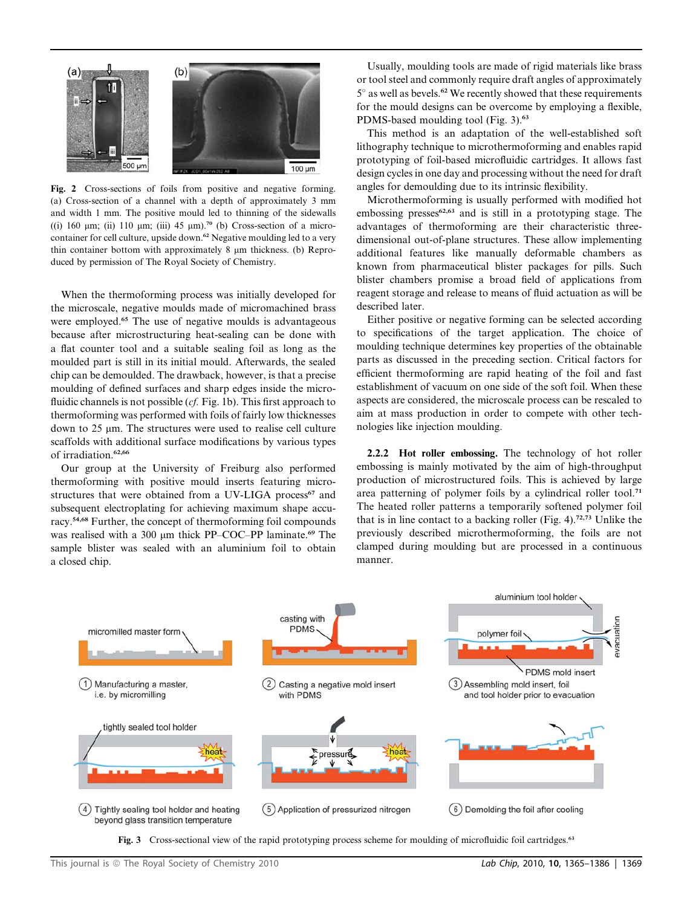

Fig. 2 Cross-sections of foils from positive and negative forming. (a) Cross-section of a channel with a depth of approximately 3 mm and width 1 mm. The positive mould led to thinning of the sidewalls ((i) 160  $\mu$ m; (ii) 110  $\mu$ m; (iii) 45  $\mu$ m).<sup>70</sup> (b) Cross-section of a microcontainer for cell culture, upside down.<sup>62</sup> Negative moulding led to a very thin container bottom with approximately  $8 \mu m$  thickness. (b) Reproduced by permission of The Royal Society of Chemistry.

When the thermoforming process was initially developed for the microscale, negative moulds made of micromachined brass were employed.<sup>65</sup> The use of negative moulds is advantageous because after microstructuring heat-sealing can be done with a flat counter tool and a suitable sealing foil as long as the moulded part is still in its initial mould. Afterwards, the sealed chip can be demoulded. The drawback, however, is that a precise moulding of defined surfaces and sharp edges inside the microfluidic channels is not possible  $(cf. Fig. 1b)$ . This first approach to thermoforming was performed with foils of fairly low thicknesses down to 25 µm. The structures were used to realise cell culture scaffolds with additional surface modifications by various types of irradiation.62,66

Our group at the University of Freiburg also performed thermoforming with positive mould inserts featuring microstructures that were obtained from a UV-LIGA process<sup>67</sup> and subsequent electroplating for achieving maximum shape accuracy.54,68 Further, the concept of thermoforming foil compounds was realised with a 300 µm thick PP–COC–PP laminate.<sup>69</sup> The sample blister was sealed with an aluminium foil to obtain a closed chip.

Usually, moulding tools are made of rigid materials like brass or tool steel and commonly require draft angles of approximately  $5^\circ$  as well as bevels.<sup>62</sup> We recently showed that these requirements for the mould designs can be overcome by employing a flexible, PDMS-based moulding tool (Fig. 3).<sup>63</sup>

This method is an adaptation of the well-established soft lithography technique to microthermoforming and enables rapid prototyping of foil-based microfluidic cartridges. It allows fast design cycles in one day and processing without the need for draft angles for demoulding due to its intrinsic flexibility.

Microthermoforming is usually performed with modified hot embossing presses $62,63$  and is still in a prototyping stage. The advantages of thermoforming are their characteristic threedimensional out-of-plane structures. These allow implementing additional features like manually deformable chambers as known from pharmaceutical blister packages for pills. Such blister chambers promise a broad field of applications from reagent storage and release to means of fluid actuation as will be described later.

Either positive or negative forming can be selected according to specifications of the target application. The choice of moulding technique determines key properties of the obtainable parts as discussed in the preceding section. Critical factors for efficient thermoforming are rapid heating of the foil and fast establishment of vacuum on one side of the soft foil. When these aspects are considered, the microscale process can be rescaled to aim at mass production in order to compete with other technologies like injection moulding.

2.2.2 Hot roller embossing. The technology of hot roller embossing is mainly motivated by the aim of high-throughput production of microstructured foils. This is achieved by large area patterning of polymer foils by a cylindrical roller tool.<sup>71</sup> The heated roller patterns a temporarily softened polymer foil that is in line contact to a backing roller (Fig. 4).<sup>72,73</sup> Unlike the previously described microthermoforming, the foils are not clamped during moulding but are processed in a continuous manner.



Fig. 3 Cross-sectional view of the rapid prototyping process scheme for moulding of microfluidic foil cartridges.<sup>63</sup>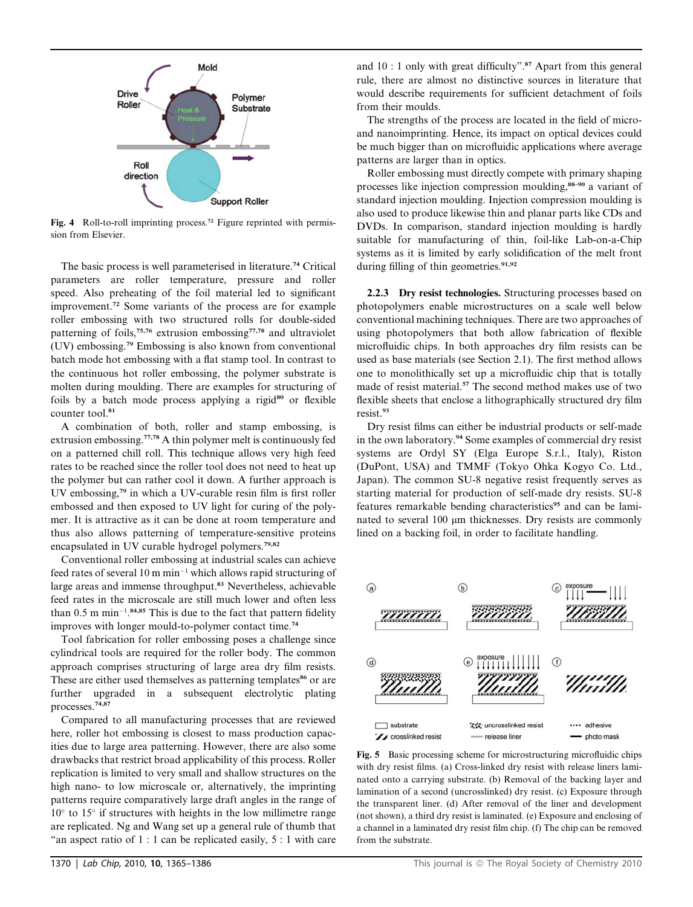

Fig. 4 Roll-to-roll imprinting process.<sup>72</sup> Figure reprinted with permission from Elsevier.

The basic process is well parameterised in literature.<sup>74</sup> Critical parameters are roller temperature, pressure and roller speed. Also preheating of the foil material led to significant improvement.<sup>72</sup> Some variants of the process are for example roller embossing with two structured rolls for double-sided patterning of foils,75,76 extrusion embossing77,78 and ultraviolet (UV) embossing.<sup>79</sup> Embossing is also known from conventional batch mode hot embossing with a flat stamp tool. In contrast to the continuous hot roller embossing, the polymer substrate is molten during moulding. There are examples for structuring of foils by a batch mode process applying a rigid<sup>80</sup> or flexible counter tool.<sup>81</sup>

A combination of both, roller and stamp embossing, is extrusion embossing.77,78 A thin polymer melt is continuously fed on a patterned chill roll. This technique allows very high feed rates to be reached since the roller tool does not need to heat up the polymer but can rather cool it down. A further approach is UV embossing,<sup>79</sup> in which a UV-curable resin film is first roller embossed and then exposed to UV light for curing of the polymer. It is attractive as it can be done at room temperature and thus also allows patterning of temperature-sensitive proteins encapsulated in UV curable hydrogel polymers.79,82

Conventional roller embossing at industrial scales can achieve feed rates of several  $10 \text{ m min}^{-1}$  which allows rapid structuring of large areas and immense throughput.<sup>83</sup> Nevertheless, achievable feed rates in the microscale are still much lower and often less than  $0.5$  m min<sup>-1</sup>.<sup>84,85</sup> This is due to the fact that pattern fidelity improves with longer mould-to-polymer contact time.<sup>74</sup>

Tool fabrication for roller embossing poses a challenge since cylindrical tools are required for the roller body. The common approach comprises structuring of large area dry film resists. These are either used themselves as patterning templates<sup>86</sup> or are further upgraded in a subsequent electrolytic plating processes.74,87

Compared to all manufacturing processes that are reviewed here, roller hot embossing is closest to mass production capacities due to large area patterning. However, there are also some drawbacks that restrict broad applicability of this process. Roller replication is limited to very small and shallow structures on the high nano- to low microscale or, alternatively, the imprinting patterns require comparatively large draft angles in the range of  $10^{\circ}$  to  $15^{\circ}$  if structures with heights in the low millimetre range are replicated. Ng and Wang set up a general rule of thumb that "an aspect ratio of  $1:1$  can be replicated easily,  $5:1$  with care

and  $10:1$  only with great difficulty".<sup>87</sup> Apart from this general rule, there are almost no distinctive sources in literature that would describe requirements for sufficient detachment of foils from their moulds.

The strengths of the process are located in the field of microand nanoimprinting. Hence, its impact on optical devices could be much bigger than on microfluidic applications where average patterns are larger than in optics.

Roller embossing must directly compete with primary shaping processes like injection compression moulding,88–90 a variant of standard injection moulding. Injection compression moulding is also used to produce likewise thin and planar parts like CDs and DVDs. In comparison, standard injection moulding is hardly suitable for manufacturing of thin, foil-like Lab-on-a-Chip systems as it is limited by early solidification of the melt front during filling of thin geometries.<sup>91,92</sup>

2.2.3 Dry resist technologies. Structuring processes based on photopolymers enable microstructures on a scale well below conventional machining techniques. There are two approaches of using photopolymers that both allow fabrication of flexible microfluidic chips. In both approaches dry film resists can be used as base materials (see Section 2.1). The first method allows one to monolithically set up a microfluidic chip that is totally made of resist material.<sup>57</sup> The second method makes use of two flexible sheets that enclose a lithographically structured dry film resist.<sup>93</sup>

Dry resist films can either be industrial products or self-made in the own laboratory.<sup>94</sup> Some examples of commercial dry resist systems are Ordyl SY (Elga Europe S.r.l., Italy), Riston (DuPont, USA) and TMMF (Tokyo Ohka Kogyo Co. Ltd., Japan). The common SU-8 negative resist frequently serves as starting material for production of self-made dry resists. SU-8 features remarkable bending characteristics<sup>95</sup> and can be laminated to several 100  $\mu$ m thicknesses. Dry resists are commonly lined on a backing foil, in order to facilitate handling.



Fig. 5 Basic processing scheme for microstructuring microfluidic chips with dry resist films. (a) Cross-linked dry resist with release liners laminated onto a carrying substrate. (b) Removal of the backing layer and lamination of a second (uncrosslinked) dry resist. (c) Exposure through the transparent liner. (d) After removal of the liner and development (not shown), a third dry resist is laminated. (e) Exposure and enclosing of a channel in a laminated dry resist film chip. (f) The chip can be removed from the substrate.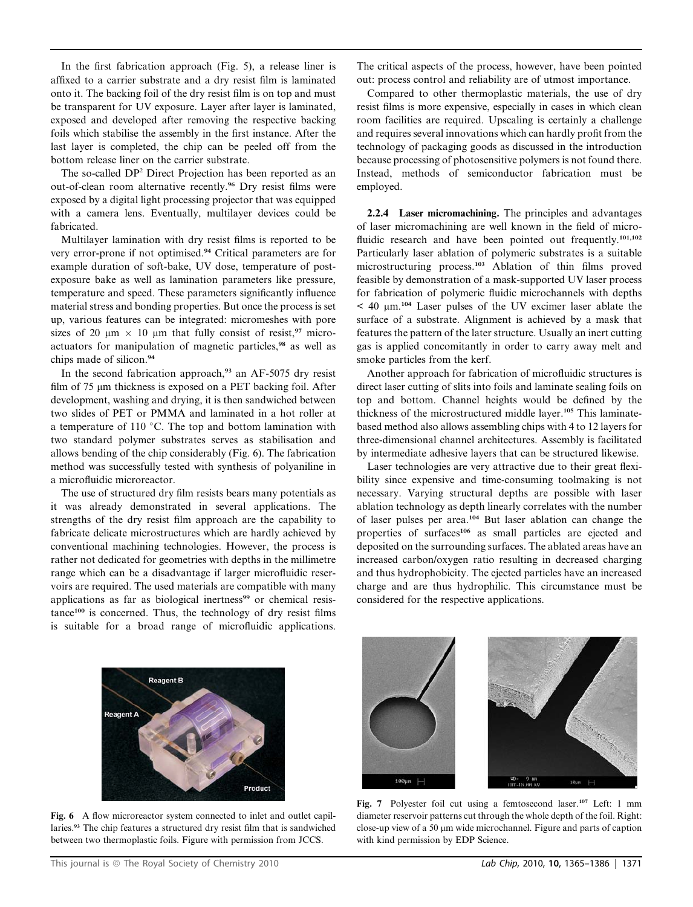In the first fabrication approach (Fig. 5), a release liner is affixed to a carrier substrate and a dry resist film is laminated onto it. The backing foil of the dry resist film is on top and must be transparent for UV exposure. Layer after layer is laminated, exposed and developed after removing the respective backing foils which stabilise the assembly in the first instance. After the last layer is completed, the chip can be peeled off from the bottom release liner on the carrier substrate.

The so-called DP2 Direct Projection has been reported as an out-of-clean room alternative recently.<sup>96</sup> Dry resist films were exposed by a digital light processing projector that was equipped with a camera lens. Eventually, multilayer devices could be fabricated.

Multilayer lamination with dry resist films is reported to be very error-prone if not optimised.<sup>94</sup> Critical parameters are for example duration of soft-bake, UV dose, temperature of postexposure bake as well as lamination parameters like pressure, temperature and speed. These parameters significantly influence material stress and bonding properties. But once the process is set up, various features can be integrated: micromeshes with pore sizes of 20  $\mu$ m  $\times$  10  $\mu$ m that fully consist of resist,<sup>97</sup> microactuators for manipulation of magnetic particles,<sup>98</sup> as well as chips made of silicon.<sup>94</sup>

In the second fabrication approach, $93$  an AF-5075 dry resist film of 75 µm thickness is exposed on a PET backing foil. After development, washing and drying, it is then sandwiched between two slides of PET or PMMA and laminated in a hot roller at a temperature of 110  $\degree$ C. The top and bottom lamination with two standard polymer substrates serves as stabilisation and allows bending of the chip considerably (Fig. 6). The fabrication method was successfully tested with synthesis of polyaniline in a microfluidic microreactor.

The use of structured dry film resists bears many potentials as it was already demonstrated in several applications. The strengths of the dry resist film approach are the capability to fabricate delicate microstructures which are hardly achieved by conventional machining technologies. However, the process is rather not dedicated for geometries with depths in the millimetre range which can be a disadvantage if larger microfluidic reservoirs are required. The used materials are compatible with many applications as far as biological inertness<sup>99</sup> or chemical resis $tance<sup>100</sup>$  is concerned. Thus, the technology of dry resist films is suitable for a broad range of microfluidic applications.

The critical aspects of the process, however, have been pointed out: process control and reliability are of utmost importance.

Compared to other thermoplastic materials, the use of dry resist films is more expensive, especially in cases in which clean room facilities are required. Upscaling is certainly a challenge and requires several innovations which can hardly profit from the technology of packaging goods as discussed in the introduction because processing of photosensitive polymers is not found there. Instead, methods of semiconductor fabrication must be employed.

2.2.4 Laser micromachining. The principles and advantages of laser micromachining are well known in the field of microfluidic research and have been pointed out frequently.<sup>101,102</sup> Particularly laser ablation of polymeric substrates is a suitable microstructuring process.<sup>103</sup> Ablation of thin films proved feasible by demonstration of a mask-supported UV laser process for fabrication of polymeric fluidic microchannels with depths  $<$  40  $\mu$ m.<sup>104</sup> Laser pulses of the UV excimer laser ablate the surface of a substrate. Alignment is achieved by a mask that features the pattern of the later structure. Usually an inert cutting gas is applied concomitantly in order to carry away melt and smoke particles from the kerf.

Another approach for fabrication of microfluidic structures is direct laser cutting of slits into foils and laminate sealing foils on top and bottom. Channel heights would be defined by the thickness of the microstructured middle layer.<sup>105</sup> This laminatebased method also allows assembling chips with 4 to 12 layers for three-dimensional channel architectures. Assembly is facilitated by intermediate adhesive layers that can be structured likewise.

Laser technologies are very attractive due to their great flexibility since expensive and time-consuming toolmaking is not necessary. Varying structural depths are possible with laser ablation technology as depth linearly correlates with the number of laser pulses per area.<sup>104</sup> But laser ablation can change the properties of surfaces<sup>106</sup> as small particles are ejected and deposited on the surrounding surfaces. The ablated areas have an increased carbon/oxygen ratio resulting in decreased charging and thus hydrophobicity. The ejected particles have an increased charge and are thus hydrophilic. This circumstance must be considered for the respective applications.



Fig. 6 A flow microreactor system connected to inlet and outlet capillaries.<sup>93</sup> The chip features a structured dry resist film that is sandwiched between two thermoplastic foils. Figure with permission from JCCS.



Fig. 7 Polyester foil cut using a femtosecond laser.<sup>107</sup> Left: 1 mm diameter reservoir patterns cut through the whole depth of the foil. Right: close-up view of a 50 µm wide microchannel. Figure and parts of caption with kind permission by EDP Science.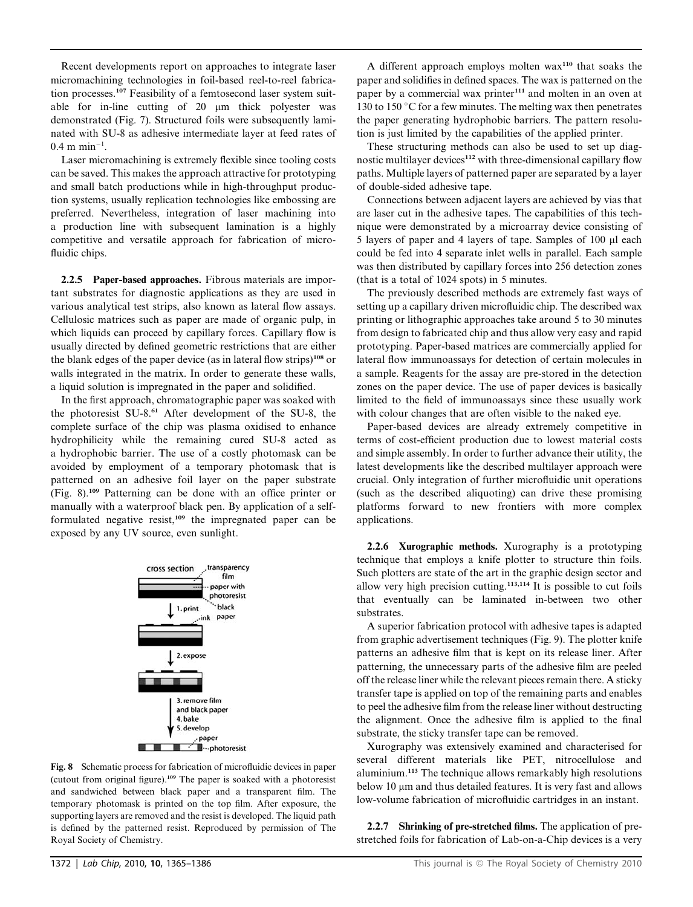Recent developments report on approaches to integrate laser micromachining technologies in foil-based reel-to-reel fabrication processes.<sup>107</sup> Feasibility of a femtosecond laser system suitable for in-line cutting of 20  $\mu$ m thick polyester was demonstrated (Fig. 7). Structured foils were subsequently laminated with SU-8 as adhesive intermediate layer at feed rates of  $0.4 \text{ m min}^{-1}$ .

Laser micromachining is extremely flexible since tooling costs can be saved. This makes the approach attractive for prototyping and small batch productions while in high-throughput production systems, usually replication technologies like embossing are preferred. Nevertheless, integration of laser machining into a production line with subsequent lamination is a highly competitive and versatile approach for fabrication of microfluidic chips.

2.2.5 Paper-based approaches. Fibrous materials are important substrates for diagnostic applications as they are used in various analytical test strips, also known as lateral flow assays. Cellulosic matrices such as paper are made of organic pulp, in which liquids can proceed by capillary forces. Capillary flow is usually directed by defined geometric restrictions that are either the blank edges of the paper device (as in lateral flow strips)<sup>108</sup> or walls integrated in the matrix. In order to generate these walls, a liquid solution is impregnated in the paper and solidified.

In the first approach, chromatographic paper was soaked with the photoresist SU-8.<sup>61</sup> After development of the SU-8, the complete surface of the chip was plasma oxidised to enhance hydrophilicity while the remaining cured SU-8 acted as a hydrophobic barrier. The use of a costly photomask can be avoided by employment of a temporary photomask that is patterned on an adhesive foil layer on the paper substrate (Fig. 8).<sup>109</sup> Patterning can be done with an office printer or manually with a waterproof black pen. By application of a selfformulated negative resist,<sup>109</sup> the impregnated paper can be exposed by any UV source, even sunlight.



Fig. 8 Schematic process for fabrication of microfluidic devices in paper (cutout from original figure).<sup>109</sup> The paper is soaked with a photoresist and sandwiched between black paper and a transparent film. The temporary photomask is printed on the top film. After exposure, the supporting layers are removed and the resist is developed. The liquid path is defined by the patterned resist. Reproduced by permission of The Royal Society of Chemistry.

A different approach employs molten wax<sup>110</sup> that soaks the paper and solidifies in defined spaces. The wax is patterned on the paper by a commercial wax printer<sup>111</sup> and molten in an oven at 130 to 150  $\degree$ C for a few minutes. The melting wax then penetrates the paper generating hydrophobic barriers. The pattern resolution is just limited by the capabilities of the applied printer.

These structuring methods can also be used to set up diagnostic multilayer devices<sup>112</sup> with three-dimensional capillary flow paths. Multiple layers of patterned paper are separated by a layer of double-sided adhesive tape.

Connections between adjacent layers are achieved by vias that are laser cut in the adhesive tapes. The capabilities of this technique were demonstrated by a microarray device consisting of 5 layers of paper and 4 layers of tape. Samples of 100 µl each could be fed into 4 separate inlet wells in parallel. Each sample was then distributed by capillary forces into 256 detection zones (that is a total of 1024 spots) in 5 minutes.

The previously described methods are extremely fast ways of setting up a capillary driven microfluidic chip. The described wax printing or lithographic approaches take around 5 to 30 minutes from design to fabricated chip and thus allow very easy and rapid prototyping. Paper-based matrices are commercially applied for lateral flow immunoassays for detection of certain molecules in a sample. Reagents for the assay are pre-stored in the detection zones on the paper device. The use of paper devices is basically limited to the field of immunoassays since these usually work with colour changes that are often visible to the naked eye.

Paper-based devices are already extremely competitive in terms of cost-efficient production due to lowest material costs and simple assembly. In order to further advance their utility, the latest developments like the described multilayer approach were crucial. Only integration of further microfluidic unit operations (such as the described aliquoting) can drive these promising platforms forward to new frontiers with more complex applications.

2.2.6 Xurographic methods. Xurography is a prototyping technique that employs a knife plotter to structure thin foils. Such plotters are state of the art in the graphic design sector and allow very high precision cutting.113,114 It is possible to cut foils that eventually can be laminated in-between two other substrates.

A superior fabrication protocol with adhesive tapes is adapted from graphic advertisement techniques (Fig. 9). The plotter knife patterns an adhesive film that is kept on its release liner. After patterning, the unnecessary parts of the adhesive film are peeled off the release liner while the relevant pieces remain there. A sticky transfer tape is applied on top of the remaining parts and enables to peel the adhesive film from the release liner without destructing the alignment. Once the adhesive film is applied to the final substrate, the sticky transfer tape can be removed.

Xurography was extensively examined and characterised for several different materials like PET, nitrocellulose and aluminium.<sup>113</sup> The technique allows remarkably high resolutions below 10  $\mu$ m and thus detailed features. It is very fast and allows low-volume fabrication of microfluidic cartridges in an instant.

2.2.7 Shrinking of pre-stretched films. The application of prestretched foils for fabrication of Lab-on-a-Chip devices is a very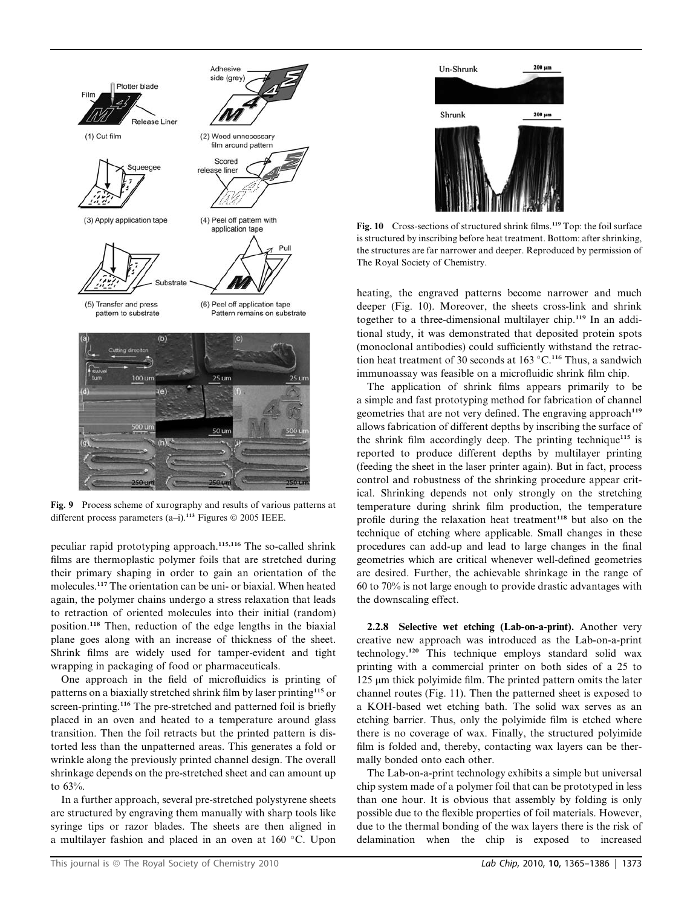

Fig. 9 Process scheme of xurography and results of various patterns at different process parameters  $(a-i)$ .<sup>113</sup> Figures  $\odot$  2005 IEEE.

peculiar rapid prototyping approach.115,116 The so-called shrink films are thermoplastic polymer foils that are stretched during their primary shaping in order to gain an orientation of the molecules.<sup>117</sup> The orientation can be uni- or biaxial. When heated again, the polymer chains undergo a stress relaxation that leads to retraction of oriented molecules into their initial (random) position.<sup>118</sup> Then, reduction of the edge lengths in the biaxial plane goes along with an increase of thickness of the sheet. Shrink films are widely used for tamper-evident and tight wrapping in packaging of food or pharmaceuticals.

One approach in the field of microfluidics is printing of patterns on a biaxially stretched shrink film by laser printing<sup>115</sup> or screen-printing.<sup>116</sup> The pre-stretched and patterned foil is briefly placed in an oven and heated to a temperature around glass transition. Then the foil retracts but the printed pattern is distorted less than the unpatterned areas. This generates a fold or wrinkle along the previously printed channel design. The overall shrinkage depends on the pre-stretched sheet and can amount up to 63%.

In a further approach, several pre-stretched polystyrene sheets are structured by engraving them manually with sharp tools like syringe tips or razor blades. The sheets are then aligned in a multilayer fashion and placed in an oven at  $160^{\circ}$ C. Upon



Fig. 10 Cross-sections of structured shrink films.<sup>119</sup> Top: the foil surface is structured by inscribing before heat treatment. Bottom: after shrinking, the structures are far narrower and deeper. Reproduced by permission of The Royal Society of Chemistry.

heating, the engraved patterns become narrower and much deeper (Fig. 10). Moreover, the sheets cross-link and shrink together to a three-dimensional multilayer chip.<sup>119</sup> In an additional study, it was demonstrated that deposited protein spots (monoclonal antibodies) could sufficiently withstand the retraction heat treatment of 30 seconds at  $163^{\circ}$ C.<sup>116</sup> Thus, a sandwich immunoassay was feasible on a microfluidic shrink film chip.

The application of shrink films appears primarily to be a simple and fast prototyping method for fabrication of channel geometries that are not very defined. The engraving approach<sup>119</sup> allows fabrication of different depths by inscribing the surface of the shrink film accordingly deep. The printing technique<sup>115</sup> is reported to produce different depths by multilayer printing (feeding the sheet in the laser printer again). But in fact, process control and robustness of the shrinking procedure appear critical. Shrinking depends not only strongly on the stretching temperature during shrink film production, the temperature profile during the relaxation heat treatment<sup>118</sup> but also on the technique of etching where applicable. Small changes in these procedures can add-up and lead to large changes in the final geometries which are critical whenever well-defined geometries are desired. Further, the achievable shrinkage in the range of 60 to 70% is not large enough to provide drastic advantages with the downscaling effect.

2.2.8 Selective wet etching (Lab-on-a-print). Another very creative new approach was introduced as the Lab-on-a-print technology.<sup>120</sup> This technique employs standard solid wax printing with a commercial printer on both sides of a 25 to  $125 \mu m$  thick polyimide film. The printed pattern omits the later channel routes (Fig. 11). Then the patterned sheet is exposed to a KOH-based wet etching bath. The solid wax serves as an etching barrier. Thus, only the polyimide film is etched where there is no coverage of wax. Finally, the structured polyimide film is folded and, thereby, contacting wax layers can be thermally bonded onto each other.

The Lab-on-a-print technology exhibits a simple but universal chip system made of a polymer foil that can be prototyped in less than one hour. It is obvious that assembly by folding is only possible due to the flexible properties of foil materials. However, due to the thermal bonding of the wax layers there is the risk of delamination when the chip is exposed to increased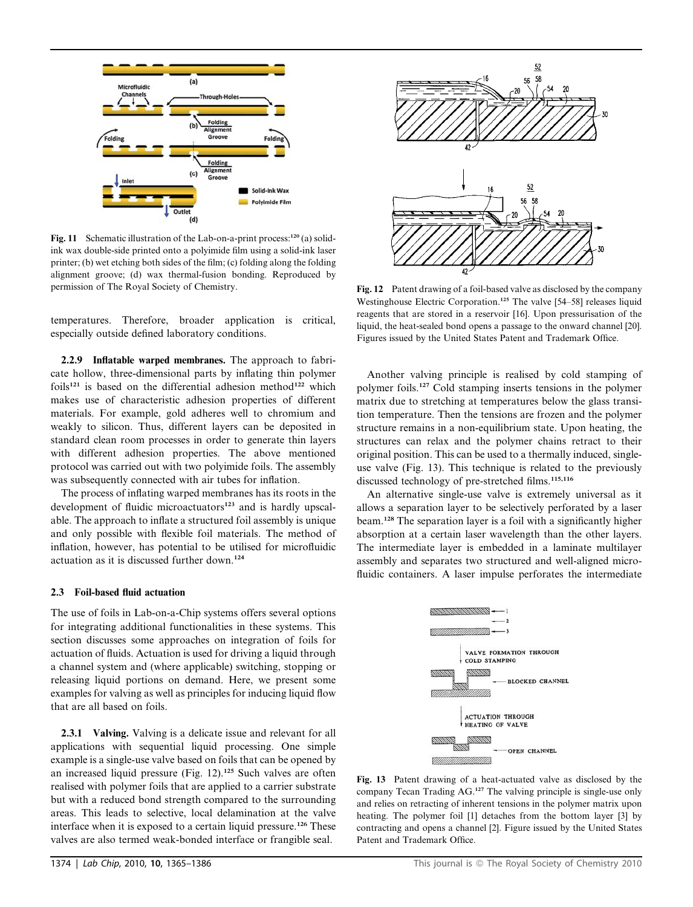

Fig. 11 Schematic illustration of the Lab-on-a-print process:<sup>120</sup> (a) solidink wax double-side printed onto a polyimide film using a solid-ink laser printer; (b) wet etching both sides of the film; (c) folding along the folding alignment groove; (d) wax thermal-fusion bonding. Reproduced by permission of The Royal Society of Chemistry.

temperatures. Therefore, broader application is critical, especially outside defined laboratory conditions.

2.2.9 Inflatable warped membranes. The approach to fabricate hollow, three-dimensional parts by inflating thin polymer foils<sup>121</sup> is based on the differential adhesion method<sup>122</sup> which makes use of characteristic adhesion properties of different materials. For example, gold adheres well to chromium and weakly to silicon. Thus, different layers can be deposited in standard clean room processes in order to generate thin layers with different adhesion properties. The above mentioned protocol was carried out with two polyimide foils. The assembly was subsequently connected with air tubes for inflation.

The process of inflating warped membranes has its roots in the development of fluidic microactuators<sup>123</sup> and is hardly upscalable. The approach to inflate a structured foil assembly is unique and only possible with flexible foil materials. The method of inflation, however, has potential to be utilised for microfluidic actuation as it is discussed further down.<sup>124</sup>

#### 2.3 Foil-based fluid actuation

The use of foils in Lab-on-a-Chip systems offers several options for integrating additional functionalities in these systems. This section discusses some approaches on integration of foils for actuation of fluids. Actuation is used for driving a liquid through a channel system and (where applicable) switching, stopping or releasing liquid portions on demand. Here, we present some examples for valving as well as principles for inducing liquid flow that are all based on foils.

2.3.1 Valving. Valving is a delicate issue and relevant for all applications with sequential liquid processing. One simple example is a single-use valve based on foils that can be opened by an increased liquid pressure (Fig. 12).<sup>125</sup> Such valves are often realised with polymer foils that are applied to a carrier substrate but with a reduced bond strength compared to the surrounding areas. This leads to selective, local delamination at the valve interface when it is exposed to a certain liquid pressure.<sup>126</sup> These valves are also termed weak-bonded interface or frangible seal.



Fig. 12 Patent drawing of a foil-based valve as disclosed by the company Westinghouse Electric Corporation.<sup>125</sup> The valve [54–58] releases liquid reagents that are stored in a reservoir [16]. Upon pressurisation of the liquid, the heat-sealed bond opens a passage to the onward channel [20]. Figures issued by the United States Patent and Trademark Office.

Another valving principle is realised by cold stamping of polymer foils.<sup>127</sup> Cold stamping inserts tensions in the polymer matrix due to stretching at temperatures below the glass transition temperature. Then the tensions are frozen and the polymer structure remains in a non-equilibrium state. Upon heating, the structures can relax and the polymer chains retract to their original position. This can be used to a thermally induced, singleuse valve (Fig. 13). This technique is related to the previously discussed technology of pre-stretched films.<sup>115,116</sup>

An alternative single-use valve is extremely universal as it allows a separation layer to be selectively perforated by a laser beam.<sup>128</sup> The separation layer is a foil with a significantly higher absorption at a certain laser wavelength than the other layers. The intermediate layer is embedded in a laminate multilayer assembly and separates two structured and well-aligned microfluidic containers. A laser impulse perforates the intermediate



Fig. 13 Patent drawing of a heat-actuated valve as disclosed by the company Tecan Trading AG.<sup>127</sup> The valving principle is single-use only and relies on retracting of inherent tensions in the polymer matrix upon heating. The polymer foil [1] detaches from the bottom layer [3] by contracting and opens a channel [2]. Figure issued by the United States Patent and Trademark Office.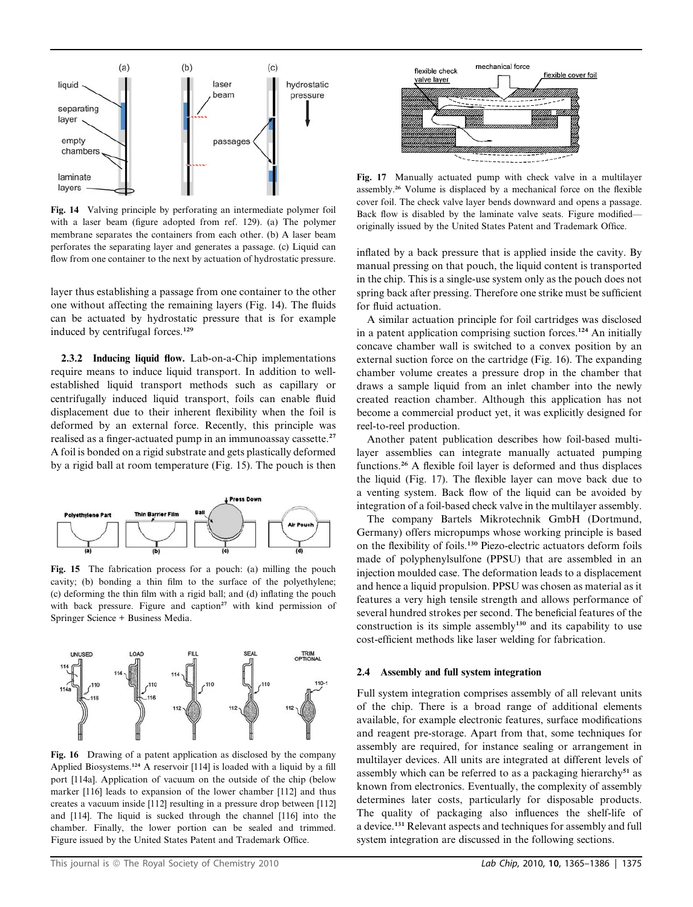

Fig. 14 Valving principle by perforating an intermediate polymer foil with a laser beam (figure adopted from ref. 129). (a) The polymer membrane separates the containers from each other. (b) A laser beam perforates the separating layer and generates a passage. (c) Liquid can flow from one container to the next by actuation of hydrostatic pressure.

layer thus establishing a passage from one container to the other one without affecting the remaining layers (Fig. 14). The fluids can be actuated by hydrostatic pressure that is for example induced by centrifugal forces.<sup>129</sup>

2.3.2 Inducing liquid flow. Lab-on-a-Chip implementations require means to induce liquid transport. In addition to wellestablished liquid transport methods such as capillary or centrifugally induced liquid transport, foils can enable fluid displacement due to their inherent flexibility when the foil is deformed by an external force. Recently, this principle was realised as a finger-actuated pump in an immunoassay cassette.<sup>27</sup> A foil is bonded on a rigid substrate and gets plastically deformed by a rigid ball at room temperature (Fig. 15). The pouch is then



Fig. 15 The fabrication process for a pouch: (a) milling the pouch cavity; (b) bonding a thin film to the surface of the polyethylene; (c) deforming the thin film with a rigid ball; and (d) inflating the pouch with back pressure. Figure and caption<sup>27</sup> with kind permission of Springer Science + Business Media.



Fig. 16 Drawing of a patent application as disclosed by the company Applied Biosystems.<sup>124</sup> A reservoir [114] is loaded with a liquid by a fill port [114a]. Application of vacuum on the outside of the chip (below marker [116] leads to expansion of the lower chamber [112] and thus creates a vacuum inside [112] resulting in a pressure drop between [112] and [114]. The liquid is sucked through the channel [116] into the chamber. Finally, the lower portion can be sealed and trimmed. Figure issued by the United States Patent and Trademark Office.



Fig. 17 Manually actuated pump with check valve in a multilayer assembly.<sup>26</sup> Volume is displaced by a mechanical force on the flexible cover foil. The check valve layer bends downward and opens a passage. Back flow is disabled by the laminate valve seats. Figure modified originally issued by the United States Patent and Trademark Office.

inflated by a back pressure that is applied inside the cavity. By manual pressing on that pouch, the liquid content is transported in the chip. This is a single-use system only as the pouch does not spring back after pressing. Therefore one strike must be sufficient for fluid actuation.

A similar actuation principle for foil cartridges was disclosed in a patent application comprising suction forces.<sup>124</sup> An initially concave chamber wall is switched to a convex position by an external suction force on the cartridge (Fig. 16). The expanding chamber volume creates a pressure drop in the chamber that draws a sample liquid from an inlet chamber into the newly created reaction chamber. Although this application has not become a commercial product yet, it was explicitly designed for reel-to-reel production.

Another patent publication describes how foil-based multilayer assemblies can integrate manually actuated pumping functions.<sup>26</sup> A flexible foil layer is deformed and thus displaces the liquid (Fig. 17). The flexible layer can move back due to a venting system. Back flow of the liquid can be avoided by integration of a foil-based check valve in the multilayer assembly.

The company Bartels Mikrotechnik GmbH (Dortmund, Germany) offers micropumps whose working principle is based on the flexibility of foils.<sup>130</sup> Piezo-electric actuators deform foils made of polyphenylsulfone (PPSU) that are assembled in an injection moulded case. The deformation leads to a displacement and hence a liquid propulsion. PPSU was chosen as material as it features a very high tensile strength and allows performance of several hundred strokes per second. The beneficial features of the construction is its simple assembly<sup>130</sup> and its capability to use cost-efficient methods like laser welding for fabrication.

#### 2.4 Assembly and full system integration

Full system integration comprises assembly of all relevant units of the chip. There is a broad range of additional elements available, for example electronic features, surface modifications and reagent pre-storage. Apart from that, some techniques for assembly are required, for instance sealing or arrangement in multilayer devices. All units are integrated at different levels of assembly which can be referred to as a packaging hierarchy<sup>51</sup> as known from electronics. Eventually, the complexity of assembly determines later costs, particularly for disposable products. The quality of packaging also influences the shelf-life of a device.<sup>131</sup> Relevant aspects and techniques for assembly and full system integration are discussed in the following sections.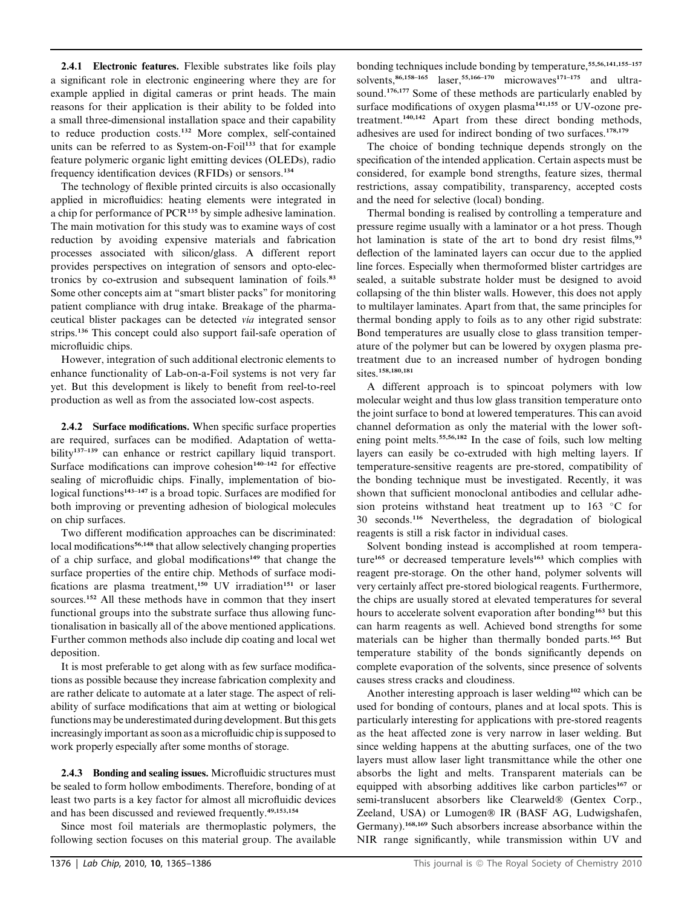2.4.1 Electronic features. Flexible substrates like foils play a significant role in electronic engineering where they are for example applied in digital cameras or print heads. The main reasons for their application is their ability to be folded into a small three-dimensional installation space and their capability to reduce production costs.<sup>132</sup> More complex, self-contained units can be referred to as System-on-Foil<sup>133</sup> that for example feature polymeric organic light emitting devices (OLEDs), radio frequency identification devices (RFIDs) or sensors.<sup>134</sup>

The technology of flexible printed circuits is also occasionally applied in microfluidics: heating elements were integrated in a chip for performance of PCR<sup>135</sup> by simple adhesive lamination. The main motivation for this study was to examine ways of cost reduction by avoiding expensive materials and fabrication processes associated with silicon/glass. A different report provides perspectives on integration of sensors and opto-electronics by co-extrusion and subsequent lamination of foils.<sup>83</sup> Some other concepts aim at ''smart blister packs'' for monitoring patient compliance with drug intake. Breakage of the pharmaceutical blister packages can be detected via integrated sensor strips.<sup>136</sup> This concept could also support fail-safe operation of microfluidic chips.

However, integration of such additional electronic elements to enhance functionality of Lab-on-a-Foil systems is not very far yet. But this development is likely to benefit from reel-to-reel production as well as from the associated low-cost aspects.

2.4.2 Surface modifications. When specific surface properties are required, surfaces can be modified. Adaptation of wettability<sup>137–139</sup> can enhance or restrict capillary liquid transport. Surface modifications can improve cohesion $140-142$  for effective sealing of microfluidic chips. Finally, implementation of biological functions<sup>143-147</sup> is a broad topic. Surfaces are modified for both improving or preventing adhesion of biological molecules on chip surfaces.

Two different modification approaches can be discriminated: local modifications<sup>56,148</sup> that allow selectively changing properties of a chip surface, and global modifications<sup>149</sup> that change the surface properties of the entire chip. Methods of surface modifications are plasma treatment,<sup>150</sup> UV irradiation<sup>151</sup> or laser sources.<sup>152</sup> All these methods have in common that they insert functional groups into the substrate surface thus allowing functionalisation in basically all of the above mentioned applications. Further common methods also include dip coating and local wet deposition.

It is most preferable to get along with as few surface modifications as possible because they increase fabrication complexity and are rather delicate to automate at a later stage. The aspect of reliability of surface modifications that aim at wetting or biological functions may be underestimated during development. But this gets increasingly important as soon as a microfluidic chip is supposed to work properly especially after some months of storage.

2.4.3 Bonding and sealing issues. Microfluidic structures must be sealed to form hollow embodiments. Therefore, bonding of at least two parts is a key factor for almost all microfluidic devices and has been discussed and reviewed frequently.49,153,154

Since most foil materials are thermoplastic polymers, the following section focuses on this material group. The available

bonding techniques include bonding by temperature,<sup>55,56,141,155–157</sup> solvents, $86,158-165$  laser,  $55,166-170$  microwaves<sup>171–175</sup> and ultrasound.<sup>176,177</sup> Some of these methods are particularly enabled by surface modifications of oxygen plasma<sup>141,155</sup> or UV-ozone pretreatment.140,142 Apart from these direct bonding methods, adhesives are used for indirect bonding of two surfaces.178,179

The choice of bonding technique depends strongly on the specification of the intended application. Certain aspects must be considered, for example bond strengths, feature sizes, thermal restrictions, assay compatibility, transparency, accepted costs and the need for selective (local) bonding.

Thermal bonding is realised by controlling a temperature and pressure regime usually with a laminator or a hot press. Though hot lamination is state of the art to bond dry resist films,<sup>93</sup> deflection of the laminated layers can occur due to the applied line forces. Especially when thermoformed blister cartridges are sealed, a suitable substrate holder must be designed to avoid collapsing of the thin blister walls. However, this does not apply to multilayer laminates. Apart from that, the same principles for thermal bonding apply to foils as to any other rigid substrate: Bond temperatures are usually close to glass transition temperature of the polymer but can be lowered by oxygen plasma pretreatment due to an increased number of hydrogen bonding sites.158,180,181

A different approach is to spincoat polymers with low molecular weight and thus low glass transition temperature onto the joint surface to bond at lowered temperatures. This can avoid channel deformation as only the material with the lower softening point melts.<sup>55,56,182</sup> In the case of foils, such low melting layers can easily be co-extruded with high melting layers. If temperature-sensitive reagents are pre-stored, compatibility of the bonding technique must be investigated. Recently, it was shown that sufficient monoclonal antibodies and cellular adhesion proteins withstand heat treatment up to  $163$  °C for 30 seconds.<sup>116</sup> Nevertheless, the degradation of biological reagents is still a risk factor in individual cases.

Solvent bonding instead is accomplished at room temperature<sup>165</sup> or decreased temperature levels<sup>163</sup> which complies with reagent pre-storage. On the other hand, polymer solvents will very certainly affect pre-stored biological reagents. Furthermore, the chips are usually stored at elevated temperatures for several hours to accelerate solvent evaporation after bonding<sup>163</sup> but this can harm reagents as well. Achieved bond strengths for some materials can be higher than thermally bonded parts.<sup>165</sup> But temperature stability of the bonds significantly depends on complete evaporation of the solvents, since presence of solvents causes stress cracks and cloudiness.

Another interesting approach is laser welding<sup>102</sup> which can be used for bonding of contours, planes and at local spots. This is particularly interesting for applications with pre-stored reagents as the heat affected zone is very narrow in laser welding. But since welding happens at the abutting surfaces, one of the two layers must allow laser light transmittance while the other one absorbs the light and melts. Transparent materials can be equipped with absorbing additives like carbon particles<sup>167</sup> or semi-translucent absorbers like Clearweld® (Gentex Corp., Zeeland, USA) or Lumogen® IR (BASF AG, Ludwigshafen, Germany).168,169 Such absorbers increase absorbance within the NIR range significantly, while transmission within UV and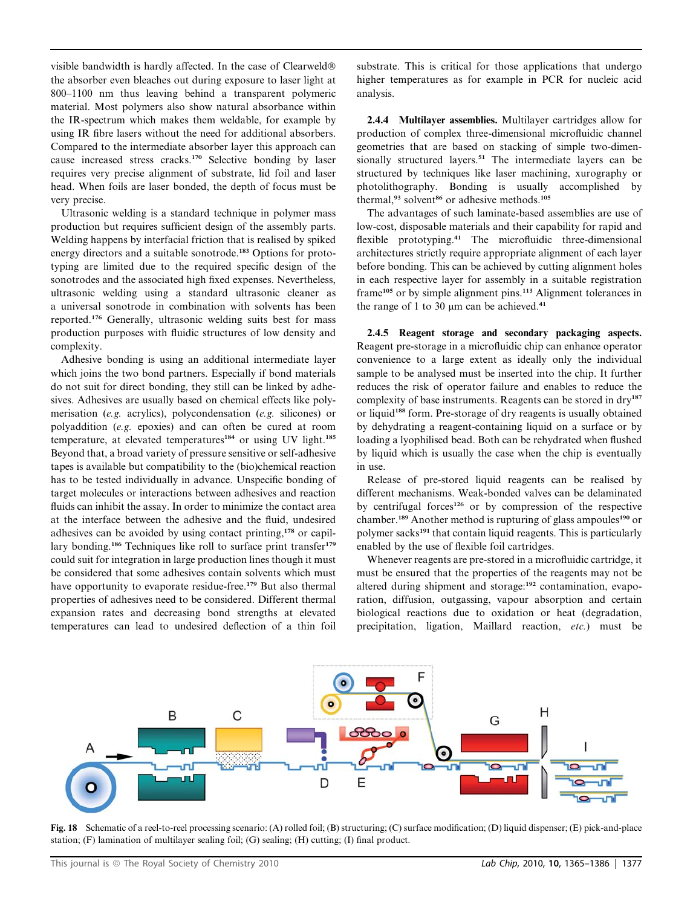visible bandwidth is hardly affected. In the case of Clearweld® the absorber even bleaches out during exposure to laser light at 800–1100 nm thus leaving behind a transparent polymeric material. Most polymers also show natural absorbance within the IR-spectrum which makes them weldable, for example by using IR fibre lasers without the need for additional absorbers. Compared to the intermediate absorber layer this approach can cause increased stress cracks.<sup>170</sup> Selective bonding by laser requires very precise alignment of substrate, lid foil and laser head. When foils are laser bonded, the depth of focus must be very precise.

Ultrasonic welding is a standard technique in polymer mass production but requires sufficient design of the assembly parts. Welding happens by interfacial friction that is realised by spiked energy directors and a suitable sonotrode.<sup>183</sup> Options for prototyping are limited due to the required specific design of the sonotrodes and the associated high fixed expenses. Nevertheless, ultrasonic welding using a standard ultrasonic cleaner as a universal sonotrode in combination with solvents has been reported.<sup>176</sup> Generally, ultrasonic welding suits best for mass production purposes with fluidic structures of low density and complexity.

Adhesive bonding is using an additional intermediate layer which joins the two bond partners. Especially if bond materials do not suit for direct bonding, they still can be linked by adhesives. Adhesives are usually based on chemical effects like polymerisation (e.g. acrylics), polycondensation (e.g. silicones) or polyaddition (e.g. epoxies) and can often be cured at room temperature, at elevated temperatures<sup>184</sup> or using UV light.<sup>185</sup> Beyond that, a broad variety of pressure sensitive or self-adhesive tapes is available but compatibility to the (bio)chemical reaction has to be tested individually in advance. Unspecific bonding of target molecules or interactions between adhesives and reaction fluids can inhibit the assay. In order to minimize the contact area at the interface between the adhesive and the fluid, undesired adhesives can be avoided by using contact printing,<sup>178</sup> or capillary bonding.<sup>186</sup> Techniques like roll to surface print transfer<sup>179</sup> could suit for integration in large production lines though it must be considered that some adhesives contain solvents which must have opportunity to evaporate residue-free.<sup>179</sup> But also thermal properties of adhesives need to be considered. Different thermal expansion rates and decreasing bond strengths at elevated temperatures can lead to undesired deflection of a thin foil

substrate. This is critical for those applications that undergo higher temperatures as for example in PCR for nucleic acid analysis.

2.4.4 Multilayer assemblies. Multilayer cartridges allow for production of complex three-dimensional microfluidic channel geometries that are based on stacking of simple two-dimensionally structured layers.<sup>51</sup> The intermediate layers can be structured by techniques like laser machining, xurography or photolithography. Bonding is usually accomplished by thermal,<sup>93</sup> solvent<sup>86</sup> or adhesive methods.<sup>105</sup>

The advantages of such laminate-based assemblies are use of low-cost, disposable materials and their capability for rapid and flexible prototyping.<sup>41</sup> The microfluidic three-dimensional architectures strictly require appropriate alignment of each layer before bonding. This can be achieved by cutting alignment holes in each respective layer for assembly in a suitable registration frame<sup>105</sup> or by simple alignment pins.<sup>113</sup> Alignment tolerances in the range of 1 to 30  $\mu$ m can be achieved.<sup>41</sup>

2.4.5 Reagent storage and secondary packaging aspects. Reagent pre-storage in a microfluidic chip can enhance operator convenience to a large extent as ideally only the individual sample to be analysed must be inserted into the chip. It further reduces the risk of operator failure and enables to reduce the complexity of base instruments. Reagents can be stored in dry<sup>187</sup> or liquid<sup>188</sup> form. Pre-storage of dry reagents is usually obtained by dehydrating a reagent-containing liquid on a surface or by loading a lyophilised bead. Both can be rehydrated when flushed by liquid which is usually the case when the chip is eventually in use.

Release of pre-stored liquid reagents can be realised by different mechanisms. Weak-bonded valves can be delaminated by centrifugal forces<sup>126</sup> or by compression of the respective chamber.<sup>189</sup> Another method is rupturing of glass ampoules<sup>190</sup> or polymer sacks<sup>191</sup> that contain liquid reagents. This is particularly enabled by the use of flexible foil cartridges.

Whenever reagents are pre-stored in a microfluidic cartridge, it must be ensured that the properties of the reagents may not be altered during shipment and storage:<sup>192</sup> contamination, evaporation, diffusion, outgassing, vapour absorption and certain biological reactions due to oxidation or heat (degradation, precipitation, ligation, Maillard reaction, etc.) must be



Fig. 18 Schematic of a reel-to-reel processing scenario: (A) rolled foil; (B) structuring; (C) surface modification; (D) liquid dispenser; (E) pick-and-place station; (F) lamination of multilayer sealing foil; (G) sealing; (H) cutting; (I) final product.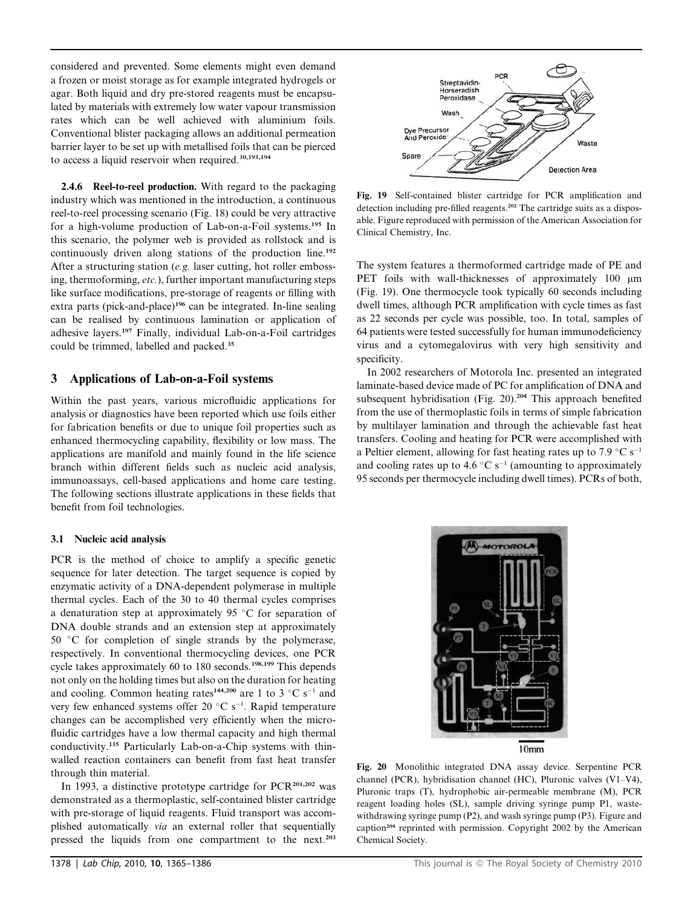considered and prevented. Some elements might even demand a frozen or moist storage as for example integrated hydrogels or agar. Both liquid and dry pre-stored reagents must be encapsulated by materials with extremely low water vapour transmission rates which can be well achieved with aluminium foils. Conventional blister packaging allows an additional permeation barrier layer to be set up with metallised foils that can be pierced to access a liquid reservoir when required.<sup>30,193,194</sup>

2.4.6 Reel-to-reel production. With regard to the packaging industry which was mentioned in the introduction, a continuous reel-to-reel processing scenario (Fig. 18) could be very attractive for a high-volume production of Lab-on-a-Foil systems.<sup>195</sup> In this scenario, the polymer web is provided as rollstock and is continuously driven along stations of the production line.<sup>192</sup> After a structuring station (e.g. laser cutting, hot roller embossing, thermoforming, etc.), further important manufacturing steps like surface modifications, pre-storage of reagents or filling with extra parts (pick-and-place)<sup>196</sup> can be integrated. In-line sealing can be realised by continuous lamination or application of adhesive layers.<sup>197</sup> Finally, individual Lab-on-a-Foil cartridges could be trimmed, labelled and packed.<sup>35</sup>

# 3 Applications of Lab-on-a-Foil systems

Within the past years, various microfluidic applications for analysis or diagnostics have been reported which use foils either for fabrication benefits or due to unique foil properties such as enhanced thermocycling capability, flexibility or low mass. The applications are manifold and mainly found in the life science branch within different fields such as nucleic acid analysis, immunoassays, cell-based applications and home care testing. The following sections illustrate applications in these fields that benefit from foil technologies.

# 3.1 Nucleic acid analysis

PCR is the method of choice to amplify a specific genetic sequence for later detection. The target sequence is copied by enzymatic activity of a DNA-dependent polymerase in multiple thermal cycles. Each of the 30 to 40 thermal cycles comprises a denaturation step at approximately 95  $\degree$ C for separation of DNA double strands and an extension step at approximately 50 °C for completion of single strands by the polymerase, respectively. In conventional thermocycling devices, one PCR cycle takes approximately 60 to 180 seconds.<sup>198,199</sup> This depends not only on the holding times but also on the duration for heating and cooling. Common heating rates<sup>144,200</sup> are 1 to 3 °C s<sup>-1</sup> and very few enhanced systems offer 20  $^{\circ}$ C s<sup>-1</sup>. Rapid temperature changes can be accomplished very efficiently when the microfluidic cartridges have a low thermal capacity and high thermal conductivity.<sup>135</sup> Particularly Lab-on-a-Chip systems with thinwalled reaction containers can benefit from fast heat transfer through thin material.

In 1993, a distinctive prototype cartridge for PCR<sup>201,202</sup> was demonstrated as a thermoplastic, self-contained blister cartridge with pre-storage of liquid reagents. Fluid transport was accomplished automatically via an external roller that sequentially pressed the liquids from one compartment to the next.<sup>203</sup>



Fig. 19 Self-contained blister cartridge for PCR amplification and detection including pre-filled reagents.<sup>202</sup> The cartridge suits as a disposable. Figure reproduced with permission of the American Association for Clinical Chemistry, Inc.

The system features a thermoformed cartridge made of PE and PET foils with wall-thicknesses of approximately 100  $\mu$ m (Fig. 19). One thermocycle took typically 60 seconds including dwell times, although PCR amplification with cycle times as fast as 22 seconds per cycle was possible, too. In total, samples of 64 patients were tested successfully for human immunodeficiency virus and a cytomegalovirus with very high sensitivity and specificity.

In 2002 researchers of Motorola Inc. presented an integrated laminate-based device made of PC for amplification of DNA and subsequent hybridisation (Fig. 20).<sup>204</sup> This approach benefited from the use of thermoplastic foils in terms of simple fabrication by multilayer lamination and through the achievable fast heat transfers. Cooling and heating for PCR were accomplished with a Peltier element, allowing for fast heating rates up to 7.9  $\mathrm{^{\circ}C}$  s<sup>-1</sup> and cooling rates up to 4.6  $\degree$ C s<sup>-1</sup> (amounting to approximately 95 seconds per thermocycle including dwell times). PCRs of both,



Fig. 20 Monolithic integrated DNA assay device. Serpentine PCR channel (PCR), hybridisation channel (HC), Pluronic valves (V1–V4), Pluronic traps (T), hydrophobic air-permeable membrane (M), PCR reagent loading holes (SL), sample driving syringe pump P1, wastewithdrawing syringe pump (P2), and wash syringe pump (P3). Figure and caption<sup>204</sup> reprinted with permission. Copyright 2002 by the American Chemical Society.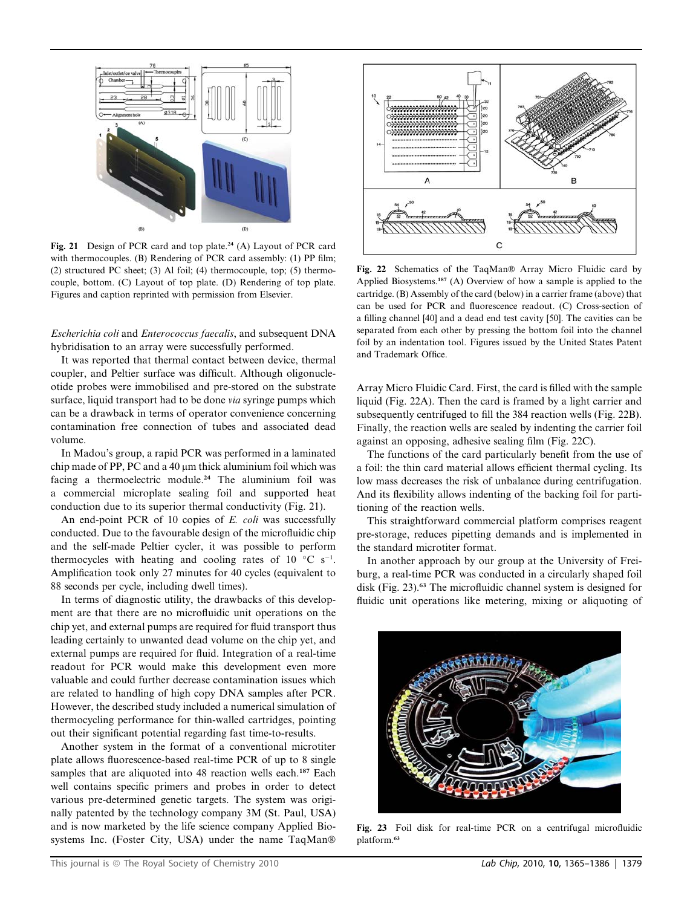

Fig. 21 Design of PCR card and top plate.<sup>24</sup> (A) Layout of PCR card with thermocouples. (B) Rendering of PCR card assembly: (1) PP film; (2) structured PC sheet; (3) Al foil; (4) thermocouple, top; (5) thermocouple, bottom. (C) Layout of top plate. (D) Rendering of top plate. Figures and caption reprinted with permission from Elsevier.

Escherichia coli and Enterococcus faecalis, and subsequent DNA hybridisation to an array were successfully performed.

It was reported that thermal contact between device, thermal coupler, and Peltier surface was difficult. Although oligonucleotide probes were immobilised and pre-stored on the substrate surface, liquid transport had to be done *via* syringe pumps which can be a drawback in terms of operator convenience concerning contamination free connection of tubes and associated dead volume.

In Madou's group, a rapid PCR was performed in a laminated chip made of PP, PC and a  $40 \mu m$  thick aluminium foil which was facing a thermoelectric module.<sup>24</sup> The aluminium foil was a commercial microplate sealing foil and supported heat conduction due to its superior thermal conductivity (Fig. 21).

An end-point PCR of 10 copies of E. coli was successfully conducted. Due to the favourable design of the microfluidic chip and the self-made Peltier cycler, it was possible to perform thermocycles with heating and cooling rates of 10  $^{\circ}$ C s<sup>-1</sup>. Amplification took only 27 minutes for 40 cycles (equivalent to 88 seconds per cycle, including dwell times).

In terms of diagnostic utility, the drawbacks of this development are that there are no microfluidic unit operations on the chip yet, and external pumps are required for fluid transport thus leading certainly to unwanted dead volume on the chip yet, and external pumps are required for fluid. Integration of a real-time readout for PCR would make this development even more valuable and could further decrease contamination issues which are related to handling of high copy DNA samples after PCR. However, the described study included a numerical simulation of thermocycling performance for thin-walled cartridges, pointing out their significant potential regarding fast time-to-results.

Another system in the format of a conventional microtiter plate allows fluorescence-based real-time PCR of up to 8 single samples that are aliquoted into 48 reaction wells each.<sup>187</sup> Each well contains specific primers and probes in order to detect various pre-determined genetic targets. The system was originally patented by the technology company 3M (St. Paul, USA) and is now marketed by the life science company Applied Biosystems Inc. (Foster City, USA) under the name TaqMan®



Fig. 22 Schematics of the TaqMan® Array Micro Fluidic card by Applied Biosystems.<sup>187</sup> (A) Overview of how a sample is applied to the cartridge. (B) Assembly of the card (below) in a carrier frame (above) that can be used for PCR and fluorescence readout. (C) Cross-section of a filling channel [40] and a dead end test cavity [50]. The cavities can be separated from each other by pressing the bottom foil into the channel foil by an indentation tool. Figures issued by the United States Patent and Trademark Office.

Array Micro Fluidic Card. First, the card is filled with the sample liquid (Fig. 22A). Then the card is framed by a light carrier and subsequently centrifuged to fill the 384 reaction wells (Fig. 22B). Finally, the reaction wells are sealed by indenting the carrier foil against an opposing, adhesive sealing film (Fig. 22C).

The functions of the card particularly benefit from the use of a foil: the thin card material allows efficient thermal cycling. Its low mass decreases the risk of unbalance during centrifugation. And its flexibility allows indenting of the backing foil for partitioning of the reaction wells.

This straightforward commercial platform comprises reagent pre-storage, reduces pipetting demands and is implemented in the standard microtiter format.

In another approach by our group at the University of Freiburg, a real-time PCR was conducted in a circularly shaped foil disk (Fig. 23).<sup>63</sup> The microfluidic channel system is designed for fluidic unit operations like metering, mixing or aliquoting of



Fig. 23 Foil disk for real-time PCR on a centrifugal microfluidic platform.<sup>63</sup>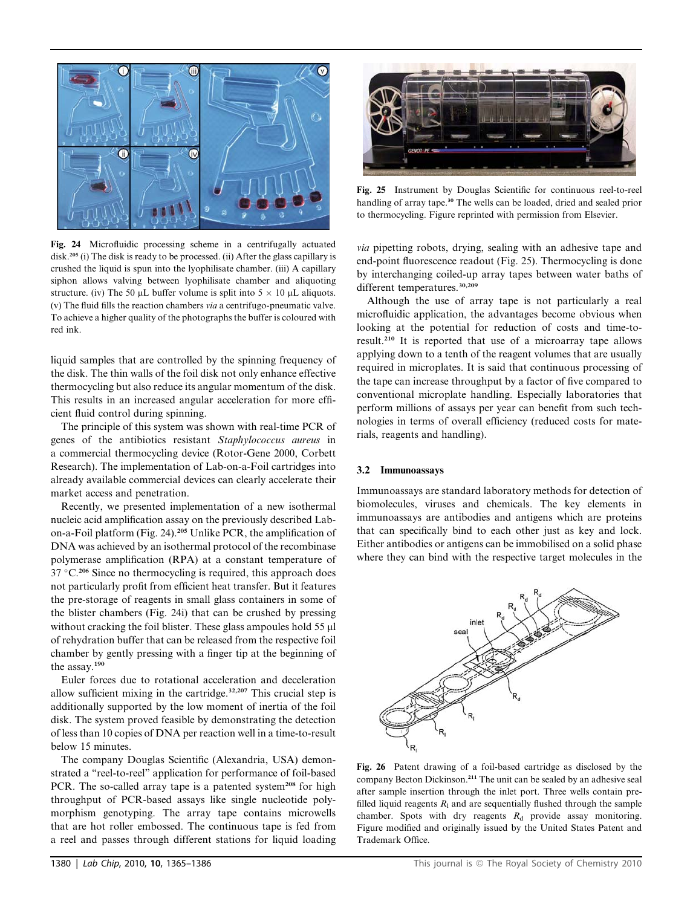

Fig. 24 Microfluidic processing scheme in a centrifugally actuated disk.<sup>205</sup> (i) The disk is ready to be processed. (ii) After the glass capillary is crushed the liquid is spun into the lyophilisate chamber. (iii) A capillary siphon allows valving between lyophilisate chamber and aliquoting structure. (iv) The 50  $\mu$ L buffer volume is split into 5  $\times$  10  $\mu$ L aliquots. (v) The fluid fills the reaction chambers via a centrifugo-pneumatic valve. To achieve a higher quality of the photographs the buffer is coloured with red ink.

liquid samples that are controlled by the spinning frequency of the disk. The thin walls of the foil disk not only enhance effective thermocycling but also reduce its angular momentum of the disk. This results in an increased angular acceleration for more efficient fluid control during spinning.

The principle of this system was shown with real-time PCR of genes of the antibiotics resistant Staphylococcus aureus in a commercial thermocycling device (Rotor-Gene 2000, Corbett Research). The implementation of Lab-on-a-Foil cartridges into already available commercial devices can clearly accelerate their market access and penetration.

Recently, we presented implementation of a new isothermal nucleic acid amplification assay on the previously described Labon-a-Foil platform (Fig. 24).<sup>205</sup> Unlike PCR, the amplification of DNA was achieved by an isothermal protocol of the recombinase polymerase amplification (RPA) at a constant temperature of  $37 \text{ °C}$ .<sup>206</sup> Since no thermocycling is required, this approach does not particularly profit from efficient heat transfer. But it features the pre-storage of reagents in small glass containers in some of the blister chambers (Fig. 24i) that can be crushed by pressing without cracking the foil blister. These glass ampoules hold 55 µl of rehydration buffer that can be released from the respective foil chamber by gently pressing with a finger tip at the beginning of the assay.<sup>190</sup>

Euler forces due to rotational acceleration and deceleration allow sufficient mixing in the cartridge.<sup>32,207</sup> This crucial step is additionally supported by the low moment of inertia of the foil disk. The system proved feasible by demonstrating the detection of less than 10 copies of DNA per reaction well in a time-to-result below 15 minutes.

The company Douglas Scientific (Alexandria, USA) demonstrated a ''reel-to-reel'' application for performance of foil-based PCR. The so-called array tape is a patented system<sup>208</sup> for high throughput of PCR-based assays like single nucleotide polymorphism genotyping. The array tape contains microwells that are hot roller embossed. The continuous tape is fed from a reel and passes through different stations for liquid loading



Fig. 25 Instrument by Douglas Scientific for continuous reel-to-reel handling of array tape.<sup>30</sup> The wells can be loaded, dried and sealed prior to thermocycling. Figure reprinted with permission from Elsevier.

via pipetting robots, drying, sealing with an adhesive tape and end-point fluorescence readout (Fig. 25). Thermocycling is done by interchanging coiled-up array tapes between water baths of different temperatures.<sup>30,209</sup>

Although the use of array tape is not particularly a real microfluidic application, the advantages become obvious when looking at the potential for reduction of costs and time-toresult.<sup>210</sup> It is reported that use of a microarray tape allows applying down to a tenth of the reagent volumes that are usually required in microplates. It is said that continuous processing of the tape can increase throughput by a factor of five compared to conventional microplate handling. Especially laboratories that perform millions of assays per year can benefit from such technologies in terms of overall efficiency (reduced costs for materials, reagents and handling).

## 3.2 Immunoassays

Immunoassays are standard laboratory methods for detection of biomolecules, viruses and chemicals. The key elements in immunoassays are antibodies and antigens which are proteins that can specifically bind to each other just as key and lock. Either antibodies or antigens can be immobilised on a solid phase where they can bind with the respective target molecules in the



Fig. 26 Patent drawing of a foil-based cartridge as disclosed by the company Becton Dickinson.<sup>211</sup> The unit can be sealed by an adhesive seal after sample insertion through the inlet port. Three wells contain prefilled liquid reagents  $R_1$  and are sequentially flushed through the sample chamber. Spots with dry reagents  $R_d$  provide assay monitoring. Figure modified and originally issued by the United States Patent and Trademark Office.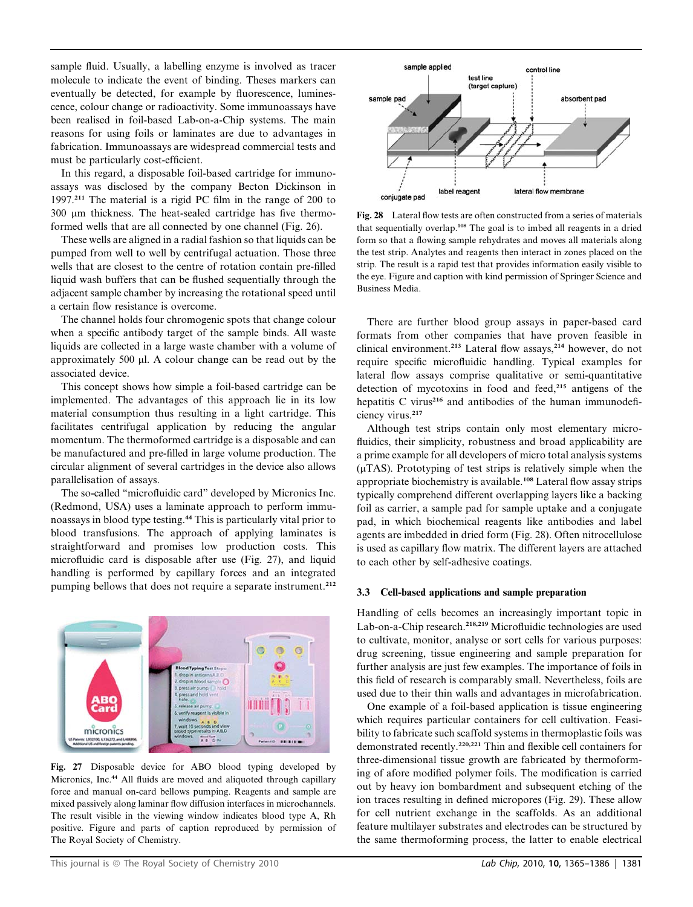sample fluid. Usually, a labelling enzyme is involved as tracer molecule to indicate the event of binding. Theses markers can eventually be detected, for example by fluorescence, luminescence, colour change or radioactivity. Some immunoassays have been realised in foil-based Lab-on-a-Chip systems. The main reasons for using foils or laminates are due to advantages in fabrication. Immunoassays are widespread commercial tests and must be particularly cost-efficient.

In this regard, a disposable foil-based cartridge for immunoassays was disclosed by the company Becton Dickinson in 1997.<sup>211</sup> The material is a rigid PC film in the range of 200 to 300 µm thickness. The heat-sealed cartridge has five thermoformed wells that are all connected by one channel (Fig. 26).

These wells are aligned in a radial fashion so that liquids can be pumped from well to well by centrifugal actuation. Those three wells that are closest to the centre of rotation contain pre-filled liquid wash buffers that can be flushed sequentially through the adjacent sample chamber by increasing the rotational speed until a certain flow resistance is overcome.

The channel holds four chromogenic spots that change colour when a specific antibody target of the sample binds. All waste liquids are collected in a large waste chamber with a volume of approximately 500 µl. A colour change can be read out by the associated device.

This concept shows how simple a foil-based cartridge can be implemented. The advantages of this approach lie in its low material consumption thus resulting in a light cartridge. This facilitates centrifugal application by reducing the angular momentum. The thermoformed cartridge is a disposable and can be manufactured and pre-filled in large volume production. The circular alignment of several cartridges in the device also allows parallelisation of assays.

The so-called ''microfluidic card'' developed by Micronics Inc. (Redmond, USA) uses a laminate approach to perform immunoassays in blood type testing.<sup>44</sup> This is particularly vital prior to blood transfusions. The approach of applying laminates is straightforward and promises low production costs. This microfluidic card is disposable after use (Fig. 27), and liquid handling is performed by capillary forces and an integrated pumping bellows that does not require a separate instrument.<sup>212</sup>



Fig. 27 Disposable device for ABO blood typing developed by Micronics, Inc.<sup>44</sup> All fluids are moved and aliquoted through capillary force and manual on-card bellows pumping. Reagents and sample are mixed passively along laminar flow diffusion interfaces in microchannels. The result visible in the viewing window indicates blood type A, Rh positive. Figure and parts of caption reproduced by permission of The Royal Society of Chemistry.



Fig. 28 Lateral flow tests are often constructed from a series of materials that sequentially overlap.<sup>108</sup> The goal is to imbed all reagents in a dried form so that a flowing sample rehydrates and moves all materials along the test strip. Analytes and reagents then interact in zones placed on the strip. The result is a rapid test that provides information easily visible to the eye. Figure and caption with kind permission of Springer Science and Business Media.

There are further blood group assays in paper-based card formats from other companies that have proven feasible in clinical environment.<sup>213</sup> Lateral flow assays,<sup>214</sup> however, do not require specific microfluidic handling. Typical examples for lateral flow assays comprise qualitative or semi-quantitative detection of mycotoxins in food and feed, $215$  antigens of the hepatitis C virus<sup>216</sup> and antibodies of the human immunodeficiency virus.<sup>217</sup>

Although test strips contain only most elementary microfluidics, their simplicity, robustness and broad applicability are a prime example for all developers of micro total analysis systems  $(\mu$ TAS). Prototyping of test strips is relatively simple when the appropriate biochemistry is available.<sup>108</sup> Lateral flow assay strips typically comprehend different overlapping layers like a backing foil as carrier, a sample pad for sample uptake and a conjugate pad, in which biochemical reagents like antibodies and label agents are imbedded in dried form (Fig. 28). Often nitrocellulose is used as capillary flow matrix. The different layers are attached to each other by self-adhesive coatings.

## 3.3 Cell-based applications and sample preparation

Handling of cells becomes an increasingly important topic in Lab-on-a-Chip research.<sup>218,219</sup> Microfluidic technologies are used to cultivate, monitor, analyse or sort cells for various purposes: drug screening, tissue engineering and sample preparation for further analysis are just few examples. The importance of foils in this field of research is comparably small. Nevertheless, foils are used due to their thin walls and advantages in microfabrication.

One example of a foil-based application is tissue engineering which requires particular containers for cell cultivation. Feasibility to fabricate such scaffold systems in thermoplastic foils was demonstrated recently.220,221 Thin and flexible cell containers for three-dimensional tissue growth are fabricated by thermoforming of afore modified polymer foils. The modification is carried out by heavy ion bombardment and subsequent etching of the ion traces resulting in defined micropores (Fig. 29). These allow for cell nutrient exchange in the scaffolds. As an additional feature multilayer substrates and electrodes can be structured by the same thermoforming process, the latter to enable electrical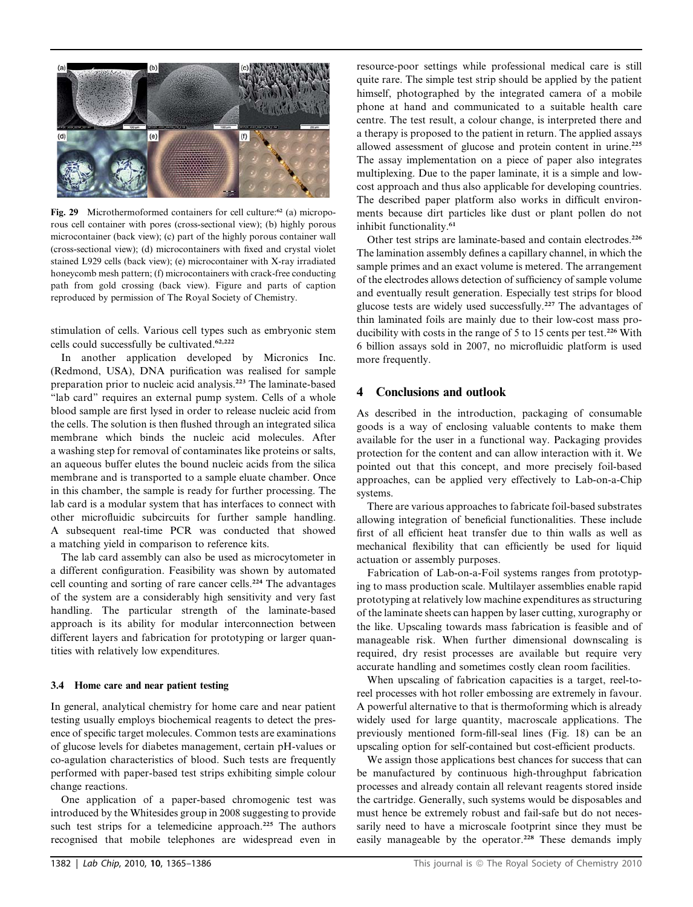

Fig. 29 Microthermoformed containers for cell culture:<sup>62</sup> (a) microporous cell container with pores (cross-sectional view); (b) highly porous microcontainer (back view); (c) part of the highly porous container wall (cross-sectional view); (d) microcontainers with fixed and crystal violet stained L929 cells (back view); (e) microcontainer with X-ray irradiated honeycomb mesh pattern; (f) microcontainers with crack-free conducting path from gold crossing (back view). Figure and parts of caption reproduced by permission of The Royal Society of Chemistry.

stimulation of cells. Various cell types such as embryonic stem cells could successfully be cultivated.62,222

In another application developed by Micronics Inc. (Redmond, USA), DNA purification was realised for sample preparation prior to nucleic acid analysis.<sup>223</sup> The laminate-based "lab card" requires an external pump system. Cells of a whole blood sample are first lysed in order to release nucleic acid from the cells. The solution is then flushed through an integrated silica membrane which binds the nucleic acid molecules. After a washing step for removal of contaminates like proteins or salts, an aqueous buffer elutes the bound nucleic acids from the silica membrane and is transported to a sample eluate chamber. Once in this chamber, the sample is ready for further processing. The lab card is a modular system that has interfaces to connect with other microfluidic subcircuits for further sample handling. A subsequent real-time PCR was conducted that showed a matching yield in comparison to reference kits.

The lab card assembly can also be used as microcytometer in a different configuration. Feasibility was shown by automated cell counting and sorting of rare cancer cells.<sup>224</sup> The advantages of the system are a considerably high sensitivity and very fast handling. The particular strength of the laminate-based approach is its ability for modular interconnection between different layers and fabrication for prototyping or larger quantities with relatively low expenditures.

## 3.4 Home care and near patient testing

In general, analytical chemistry for home care and near patient testing usually employs biochemical reagents to detect the presence of specific target molecules. Common tests are examinations of glucose levels for diabetes management, certain pH-values or co-agulation characteristics of blood. Such tests are frequently performed with paper-based test strips exhibiting simple colour change reactions.

One application of a paper-based chromogenic test was introduced by the Whitesides group in 2008 suggesting to provide such test strips for a telemedicine approach.<sup>225</sup> The authors recognised that mobile telephones are widespread even in

resource-poor settings while professional medical care is still quite rare. The simple test strip should be applied by the patient himself, photographed by the integrated camera of a mobile phone at hand and communicated to a suitable health care centre. The test result, a colour change, is interpreted there and a therapy is proposed to the patient in return. The applied assays allowed assessment of glucose and protein content in urine.<sup>225</sup> The assay implementation on a piece of paper also integrates multiplexing. Due to the paper laminate, it is a simple and lowcost approach and thus also applicable for developing countries. The described paper platform also works in difficult environments because dirt particles like dust or plant pollen do not inhibit functionality.<sup>61</sup>

Other test strips are laminate-based and contain electrodes.<sup>226</sup> The lamination assembly defines a capillary channel, in which the sample primes and an exact volume is metered. The arrangement of the electrodes allows detection of sufficiency of sample volume and eventually result generation. Especially test strips for blood glucose tests are widely used successfully.<sup>227</sup> The advantages of thin laminated foils are mainly due to their low-cost mass producibility with costs in the range of 5 to 15 cents per test.<sup>226</sup> With 6 billion assays sold in 2007, no microfluidic platform is used more frequently.

# 4 Conclusions and outlook

As described in the introduction, packaging of consumable goods is a way of enclosing valuable contents to make them available for the user in a functional way. Packaging provides protection for the content and can allow interaction with it. We pointed out that this concept, and more precisely foil-based approaches, can be applied very effectively to Lab-on-a-Chip systems.

There are various approaches to fabricate foil-based substrates allowing integration of beneficial functionalities. These include first of all efficient heat transfer due to thin walls as well as mechanical flexibility that can efficiently be used for liquid actuation or assembly purposes.

Fabrication of Lab-on-a-Foil systems ranges from prototyping to mass production scale. Multilayer assemblies enable rapid prototyping at relatively low machine expenditures as structuring of the laminate sheets can happen by laser cutting, xurography or the like. Upscaling towards mass fabrication is feasible and of manageable risk. When further dimensional downscaling is required, dry resist processes are available but require very accurate handling and sometimes costly clean room facilities.

When upscaling of fabrication capacities is a target, reel-toreel processes with hot roller embossing are extremely in favour. A powerful alternative to that is thermoforming which is already widely used for large quantity, macroscale applications. The previously mentioned form-fill-seal lines (Fig. 18) can be an upscaling option for self-contained but cost-efficient products.

We assign those applications best chances for success that can be manufactured by continuous high-throughput fabrication processes and already contain all relevant reagents stored inside the cartridge. Generally, such systems would be disposables and must hence be extremely robust and fail-safe but do not necessarily need to have a microscale footprint since they must be easily manageable by the operator.<sup>228</sup> These demands imply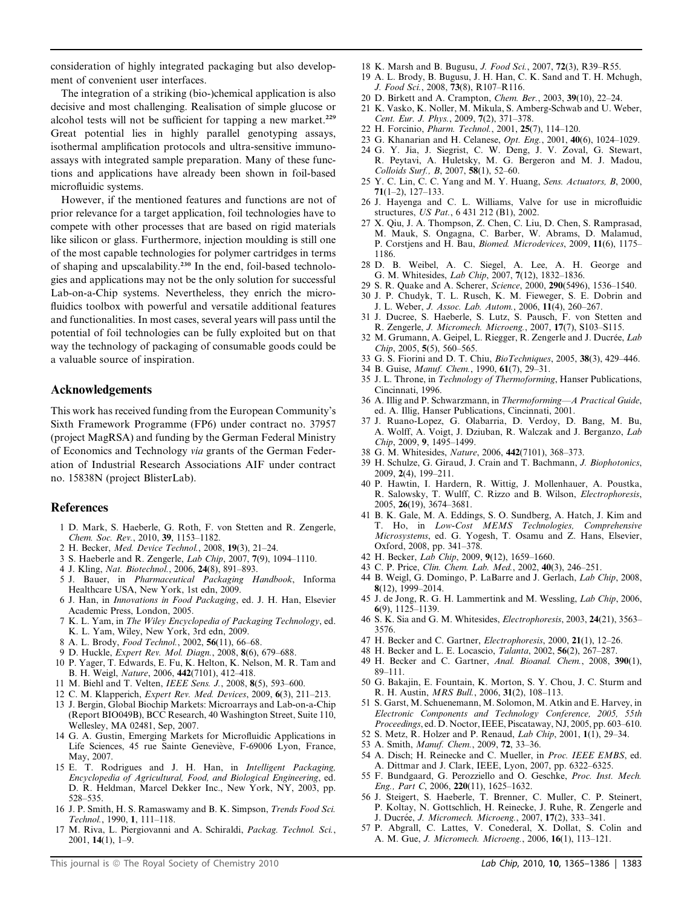consideration of highly integrated packaging but also development of convenient user interfaces.

The integration of a striking (bio-)chemical application is also decisive and most challenging. Realisation of simple glucose or alcohol tests will not be sufficient for tapping a new market.<sup>229</sup> Great potential lies in highly parallel genotyping assays, isothermal amplification protocols and ultra-sensitive immunoassays with integrated sample preparation. Many of these functions and applications have already been shown in foil-based microfluidic systems.

However, if the mentioned features and functions are not of prior relevance for a target application, foil technologies have to compete with other processes that are based on rigid materials like silicon or glass. Furthermore, injection moulding is still one of the most capable technologies for polymer cartridges in terms of shaping and upscalability.<sup>230</sup> In the end, foil-based technologies and applications may not be the only solution for successful Lab-on-a-Chip systems. Nevertheless, they enrich the microfluidics toolbox with powerful and versatile additional features and functionalities. In most cases, several years will pass until the potential of foil technologies can be fully exploited but on that way the technology of packaging of consumable goods could be a valuable source of inspiration.

## Acknowledgements

This work has received funding from the European Community's Sixth Framework Programme (FP6) under contract no. 37957 (project MagRSA) and funding by the German Federal Ministry of Economics and Technology via grants of the German Federation of Industrial Research Associations AIF under contract no. 15838N (project BlisterLab).

## References

- 1 D. Mark, S. Haeberle, G. Roth, F. von Stetten and R. Zengerle, Chem. Soc. Rev., 2010, 39, 1153–1182.
- 2 H. Becker, Med. Device Technol., 2008, 19(3), 21–24.
- 3 S. Haeberle and R. Zengerle, Lab Chip, 2007, 7(9), 1094–1110.
- 4 J. Kling, Nat. Biotechnol., 2006, 24(8), 891–893.
- 5 J. Bauer, in Pharmaceutical Packaging Handbook, Informa Healthcare USA, New York, 1st edn, 2009.
- 6 J. Han, in Innovations in Food Packaging, ed. J. H. Han, Elsevier Academic Press, London, 2005.
- 7 K. L. Yam, in The Wiley Encyclopedia of Packaging Technology, ed. K. L. Yam, Wiley, New York, 3rd edn, 2009.
- 8 A. L. Brody, Food Technol., 2002, 56(11), 66-68.
- 9 D. Huckle, Expert Rev. Mol. Diagn., 2008, 8(6), 679–688.
- 10 P. Yager, T. Edwards, E. Fu, K. Helton, K. Nelson, M. R. Tam and B. H. Weigl, Nature, 2006, 442(7101), 412–418.
- 11 M. Biehl and T. Velten, IEEE Sens. J., 2008, 8(5), 593–600.
- 12 C. M. Klapperich, Expert Rev. Med. Devices, 2009, 6(3), 211–213.
- 13 J. Bergin, Global Biochip Markets: Microarrays and Lab-on-a-Chip (Report BIO049B), BCC Research, 40 Washington Street, Suite 110, Wellesley, MA 02481, Sep, 2007.
- 14 G. A. Gustin, Emerging Markets for Microfluidic Applications in Life Sciences, 45 rue Sainte Geneviève, F-69006 Lyon, France, May, 2007.
- 15 E. T. Rodrigues and J. H. Han, in Intelligent Packaging, Encyclopedia of Agricultural, Food, and Biological Engineering, ed. D. R. Heldman, Marcel Dekker Inc., New York, NY, 2003, pp. 528–535.
- 16 J. P. Smith, H. S. Ramaswamy and B. K. Simpson, Trends Food Sci. Technol., 1990, 1, 111–118.
- 17 M. Riva, L. Piergiovanni and A. Schiraldi, Packag. Technol. Sci., 2001, 14(1), 1–9.
- 18 K. Marsh and B. Bugusu, J. Food Sci., 2007, 72(3), R39–R55.
- 19 A. L. Brody, B. Bugusu, J. H. Han, C. K. Sand and T. H. Mchugh, J. Food Sci., 2008, 73(8), R107–R116.
- 20 D. Birkett and A. Crampton, Chem. Ber., 2003, 39(10), 22–24.
- 21 K. Vasko, K. Noller, M. Mikula, S. Amberg-Schwab and U. Weber, Cent. Eur. J. Phys., 2009, 7(2), 371–378.
- 22 H. Forcinio, Pharm. Technol., 2001, 25(7), 114–120.
- 23 G. Khanarian and H. Celanese, Opt. Eng., 2001, 40(6), 1024–1029.
- 24 G. Y. Jia, J. Siegrist, C. W. Deng, J. V. Zoval, G. Stewart, R. Peytavi, A. Huletsky, M. G. Bergeron and M. J. Madou, Colloids Surf., B, 2007, 58(1), 52–60.
- 25 Y. C. Lin, C. C. Yang and M. Y. Huang, Sens. Actuators, B, 2000, 71(1–2), 127–133.
- 26 J. Hayenga and C. L. Williams, Valve for use in microfluidic structures, US Pat., 6 431 212 (B1), 2002.
- 27 X. Qiu, J. A. Thompson, Z. Chen, C. Liu, D. Chen, S. Ramprasad, M. Mauk, S. Ongagna, C. Barber, W. Abrams, D. Malamud, P. Corstjens and H. Bau, Biomed. Microdevices, 2009, 11(6), 1175– 1186.
- 28 D. B. Weibel, A. C. Siegel, A. Lee, A. H. George and G. M. Whitesides, Lab Chip, 2007, 7(12), 1832–1836.
- 29 S. R. Quake and A. Scherer, Science, 2000, 290(5496), 1536–1540.
- 30 J. P. Chudyk, T. L. Rusch, K. M. Fieweger, S. E. Dobrin and J. L. Weber, J. Assoc. Lab. Autom., 2006, 11(4), 260–267.
- 31 J. Ducree, S. Haeberle, S. Lutz, S. Pausch, F. von Stetten and R. Zengerle, J. Micromech. Microeng., 2007, 17(7), S103–S115.
- 32 M. Grumann, A. Geipel, L. Riegger, R. Zengerle and J. Ducrée, Lab Chip, 2005, 5(5), 560 $-$ 565.
- 33 G. S. Fiorini and D. T. Chiu, BioTechniques, 2005, 38(3), 429–446.
- 34 B. Guise, Manuf. Chem., 1990, 61(7), 29–31.
- 35 J. L. Throne, in Technology of Thermoforming, Hanser Publications, Cincinnati, 1996.
- 36 A. Illig and P. Schwarzmann, in Thermoforming—A Practical Guide, ed. A. Illig, Hanser Publications, Cincinnati, 2001.
- 37 J. Ruano-Lopez, G. Olabarria, D. Verdoy, D. Bang, M. Bu, A. Wolff, A. Voigt, J. Dziuban, R. Walczak and J. Berganzo, Lab Chip, 2009, 9, 1495–1499.
- 38 G. M. Whitesides, Nature, 2006, 442(7101), 368–373.
- 39 H. Schulze, G. Giraud, J. Crain and T. Bachmann, J. Biophotonics, 2009, 2(4), 199–211.
- 40 P. Hawtin, I. Hardern, R. Wittig, J. Mollenhauer, A. Poustka, R. Salowsky, T. Wulff, C. Rizzo and B. Wilson, Electrophoresis, 2005, 26(19), 3674–3681.
- 41 B. K. Gale, M. A. Eddings, S. O. Sundberg, A. Hatch, J. Kim and T. Ho, in Low-Cost MEMS Technologies, Comprehensive Microsystems, ed. G. Yogesh, T. Osamu and Z. Hans, Elsevier, Oxford, 2008, pp. 341–378.
- 42 H. Becker, Lab Chip, 2009, 9(12), 1659–1660.
- 43 C. P. Price, Clin. Chem. Lab. Med., 2002, 40(3), 246–251.
- 44 B. Weigl, G. Domingo, P. LaBarre and J. Gerlach, Lab Chip, 2008, 8(12), 1999–2014.
- 45 J. de Jong, R. G. H. Lammertink and M. Wessling, Lab Chip, 2006, 6(9), 1125–1139.
- 46 S. K. Sia and G. M. Whitesides, Electrophoresis, 2003, 24(21), 3563– 3576.
- 47 H. Becker and C. Gartner, Electrophoresis, 2000, 21(1), 12–26.
- 48 H. Becker and L. E. Locascio, Talanta, 2002, 56(2), 267–287.
- 49 H. Becker and C. Gartner, Anal. Bioanal. Chem., 2008, 390(1), 89–111.
- 50 G. Bakajin, E. Fountain, K. Morton, S. Y. Chou, J. C. Sturm and R. H. Austin, MRS Bull., 2006, 31(2), 108–113.
- 51 S. Garst, M. Schuenemann, M. Solomon, M. Atkin and E. Harvey, in Electronic Components and Technology Conference, 2005, 55th Proceedings, ed. D. Noctor, IEEE, Piscataway, NJ, 2005, pp. 603–610.
- 52 S. Metz, R. Holzer and P. Renaud, Lab Chip, 2001, 1(1), 29–34.
- 53 A. Smith, Manuf. Chem., 2009, 72, 33–36.
- 54 A. Disch; H. Reinecke and C. Mueller, in Proc. IEEE EMBS, ed. A. Dittmar and J. Clark, IEEE, Lyon, 2007, pp. 6322–6325.
- 55 F. Bundgaard, G. Perozziello and O. Geschke, Proc. Inst. Mech. Eng., Part C, 2006, 220(11), 1625–1632.
- 56 J. Steigert, S. Haeberle, T. Brenner, C. Muller, C. P. Steinert, P. Koltay, N. Gottschlich, H. Reinecke, J. Ruhe, R. Zengerle and J. Ducrée, *J. Micromech. Microeng.*, 2007, 17(2), 333-341.
- 57 P. Abgrall, C. Lattes, V. Conederal, X. Dollat, S. Colin and A. M. Gue, J. Micromech. Microeng., 2006, 16(1), 113–121.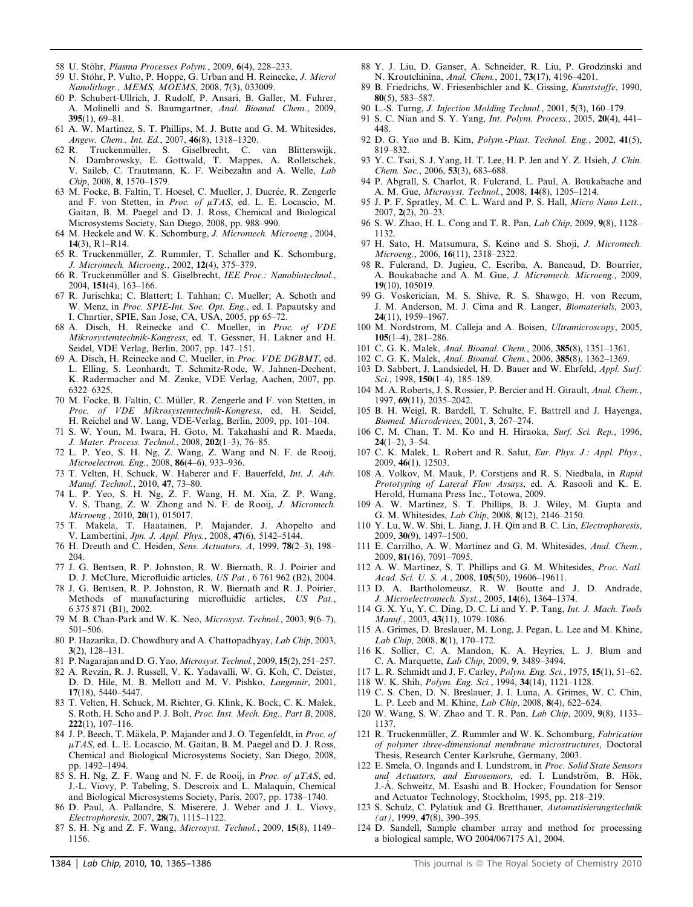- 58 U. Stöhr, Plasma Processes Polym., 2009, 6(4), 228-233.
- 59 U. Stöhr, P. Vulto, P. Hoppe, G. Urban and H. Reinecke, J. Microl Nanolithogr., MEMS, MOEMS, 2008, 7(3), 033009.
- 60 P. Schubert-Ullrich, J. Rudolf, P. Ansari, B. Galler, M. Fuhrer, A. Molinelli and S. Baumgartner, Anal. Bioanal. Chem., 2009, 395(1), 69–81.
- 61 A. W. Martinez, S. T. Phillips, M. J. Butte and G. M. Whitesides, Angew. Chem., Int. Ed., 2007, 46(8), 1318–1320.
- 62 R. Truckenmüller, S. Giselbrecht, C. van Blitterswijk, N. Dambrowsky, E. Gottwald, T. Mappes, A. Rolletschek, V. Saileb, C. Trautmann, K. F. Weibezahn and A. Welle, Lab Chip, 2008, 8, 1570–1579.
- 63 M. Focke, B. Faltin, T. Hoesel, C. Mueller, J. Ducrée, R. Zengerle and F. von Stetten, in Proc. of  $\mu$ TAS, ed. L. E. Locascio, M. Gaitan, B. M. Paegel and D. J. Ross, Chemical and Biological Microsystems Society, San Diego, 2008, pp. 988–990.
- 64 M. Heckele and W. K. Schomburg, J. Micromech. Microeng., 2004, 14(3), R1–R14.
- 65 R. Truckenmüller, Z. Rummler, T. Schaller and K. Schomburg, J. Micromech. Microeng., 2002, 12(4), 375–379.
- 66 R. Truckenmüller and S. Giselbrecht, IEE Proc.: Nanobiotechnol., 2004, 151(4), 163–166.
- 67 R. Jurischka; C. Blattert; I. Tahhan; C. Mueller; A. Schoth and W. Menz, in Proc. SPIE-Int. Soc. Opt. Eng., ed. I. Papautsky and I. Chartier, SPIE, San Jose, CA, USA, 2005, pp 65–72.
- 68 A. Disch, H. Reinecke and C. Mueller, in Proc. of VDE Mikrosystemtechnik-Kongress, ed. T. Gessner, H. Lakner and H. Seidel, VDE Verlag, Berlin, 2007, pp. 147–151.
- 69 A. Disch, H. Reinecke and C. Mueller, in Proc. VDE DGBMT, ed. L. Elling, S. Leonhardt, T. Schmitz-Rode, W. Jahnen-Dechent, K. Radermacher and M. Zenke, VDE Verlag, Aachen, 2007, pp. 6322–6325.
- 70 M. Focke, B. Faltin, C. Müller, R. Zengerle and F. von Stetten, in Proc. of VDE Mikrosystemtechnik-Kongress, ed. H. Seidel, H. Reichel and W. Lang, VDE-Verlag, Berlin, 2009, pp. 101–104.
- 71 S. W. Youn, M. Iwara, H. Goto, M. Takahashi and R. Maeda, J. Mater. Process. Technol., 2008, 202(1–3), 76–85.
- 72 L. P. Yeo, S. H. Ng, Z. Wang, Z. Wang and N. F. de Rooij, Microelectron. Eng., 2008, 86(4–6), 933–936.
- 73 T. Velten, H. Schuck, W. Haberer and F. Bauerfeld, Int. J. Adv. Manuf. Technol., 2010, 47, 73–80.
- 74 L. P. Yeo, S. H. Ng, Z. F. Wang, H. M. Xia, Z. P. Wang, V. S. Thang, Z. W. Zhong and N. F. de Rooij, J. Micromech. Microeng., 2010, 20(1), 015017.
- 75 T. Makela, T. Haatainen, P. Majander, J. Ahopelto and V. Lambertini, Jpn. J. Appl. Phys., 2008, 47(6), 5142–5144.
- 76 H. Dreuth and C. Heiden, Sens. Actuators, A, 1999, 78(2–3), 198– 204.
- 77 J. G. Bentsen, R. P. Johnston, R. W. Biernath, R. J. Poirier and D. J. McClure, Microfluidic articles, US Pat., 6 761 962 (B2), 2004.
- 78 J. G. Bentsen, R. P. Johnston, R. W. Biernath and R. J. Poirier, Methods of manufacturing microfluidic articles, US Pat., 6 375 871 (B1), 2002.
- 79 M. B. Chan-Park and W. K. Neo, Microsyst. Technol., 2003, 9(6–7), 501–506.
- 80 P. Hazarika, D. Chowdhury and A. Chattopadhyay, Lab Chip, 2003, 3(2), 128–131.
- 81 P. Nagarajan and D. G. Yao, Microsyst. Technol., 2009, 15(2), 251-257.
- 82 A. Revzin, R. J. Russell, V. K. Yadavalli, W. G. Koh, C. Deister, D. D. Hile, M. B. Mellott and M. V. Pishko, Langmuir, 2001, 17(18), 5440–5447.
- 83 T. Velten, H. Schuck, M. Richter, G. Klink, K. Bock, C. K. Malek, S. Roth, H. Scho and P. J. Bolt, Proc. Inst. Mech. Eng., Part B, 2008, 222(1), 107–116.
- 84 J. P. Beech, T. Mäkela, P. Majander and J. O. Tegenfeldt, in *Proc. of*  $\mu$ TAS, ed. L. E. Locascio, M. Gaitan, B. M. Paegel and D. J. Ross, Chemical and Biological Microsystems Society, San Diego, 2008, pp. 1492–1494.
- 85 S. H. Ng, Z. F. Wang and N. F. de Rooij, in Proc. of  $\mu$ TAS, ed. J.-L. Viovy, P. Tabeling, S. Descroix and L. Malaquin, Chemical and Biological Microsystems Society, Paris, 2007, pp. 1738–1740.
- 86 D. Paul, A. Pallandre, S. Miserere, J. Weber and J. L. Viovy, Electrophoresis, 2007, 28(7), 1115–1122.
- 87 S. H. Ng and Z. F. Wang, Microsyst. Technol., 2009, 15(8), 1149– 1156.
- 88 Y. J. Liu, D. Ganser, A. Schneider, R. Liu, P. Grodzinski and N. Kroutchinina, Anal. Chem., 2001, 73(17), 4196–4201.
- 89 B. Friedrichs, W. Friesenbichler and K. Gissing, Kunststoffe, 1990, 80(5), 583–587.
- 90 L.-S. Turng, J. Injection Molding Technol., 2001, 5(3), 160–179.
- 91 S. C. Nian and S. Y. Yang, Int. Polym. Process., 2005, 20(4), 441– 448.
- 92 D. G. Yao and B. Kim, Polym.-Plast. Technol. Eng., 2002, 41(5), 819–832.
- 93 Y. C. Tsai, S. J. Yang, H. T. Lee, H. P. Jen and Y. Z. Hsieh, J. Chin. Chem. Soc., 2006, 53(3), 683–688.
- 94 P. Abgrall, S. Charlot, R. Fulcrand, L. Paul, A. Boukabache and A. M. Gue, Microsyst. Technol., 2008, 14(8), 1205-1214
- 95 J. P. F. Spratley, M. C. L. Ward and P. S. Hall, Micro Nano Lett., 2007, 2(2), 20–23.
- 96 S. W. Zhao, H. L. Cong and T. R. Pan, Lab Chip, 2009, 9(8), 1128– 1132.
- 97 H. Sato, H. Matsumura, S. Keino and S. Shoji, J. Micromech. Microeng., 2006, 16(11), 2318–2322.
- 98 R. Fulcrand, D. Jugieu, C. Escriba, A. Bancaud, D. Bourrier, A. Boukabache and A. M. Gue, J. Micromech. Microeng., 2009, 19(10), 105019.
- 99 G. Voskerician, M. S. Shive, R. S. Shawgo, H. von Recum, J. M. Anderson, M. J. Cima and R. Langer, Biomaterials, 2003, 24(11), 1959–1967.
- 100 M. Nordstrom, M. Calleja and A. Boisen, Ultramicroscopy, 2005, 105(1–4), 281–286.
- 101 C. G. K. Malek, Anal. Bioanal. Chem., 2006, 385(8), 1351–1361.
- 102 C. G. K. Malek, Anal. Bioanal. Chem., 2006, 385(8), 1362–1369.
- 103 D. Sabbert, J. Landsiedel, H. D. Bauer and W. Ehrfeld, Appl. Surf. Sci., 1998, 150(1-4), 185-189.
- 104 M. A. Roberts, J. S. Rossier, P. Bercier and H. Girault, Anal. Chem., 1997, 69(11), 2035–2042.
- 105 B. H. Weigl, R. Bardell, T. Schulte, F. Battrell and J. Hayenga, Biomed. Microdevices, 2001, 3, 267–274.
- 106 C. M. Chan, T. M. Ko and H. Hiraoka, Surf. Sci. Rep., 1996,  $24(1-2)$ , 3-54.
- 107 C. K. Malek, L. Robert and R. Salut, Eur. Phys. J.: Appl. Phys., 2009, 46(1), 12503.
- 108 A. Volkov, M. Mauk, P. Corstjens and R. S. Niedbala, in Rapid Prototyping of Lateral Flow Assays, ed. A. Rasooli and K. E. Herold, Humana Press Inc., Totowa, 2009.
- 109 A. W. Martinez, S. T. Phillips, B. J. Wiley, M. Gupta and G. M. Whitesides, Lab Chip, 2008, 8(12), 2146–2150.
- 110 Y. Lu, W. W. Shi, L. Jiang, J. H. Qin and B. C. Lin, Electrophoresis, 2009, 30(9), 1497–1500.
- 111 E. Carrilho, A. W. Martinez and G. M. Whitesides, Anal. Chem., 2009, 81(16), 7091–7095.
- 112 A. W. Martinez, S. T. Phillips and G. M. Whitesides, Proc. Natl. Acad. Sci. U. S. A., 2008, 105(50), 19606–19611.
- 113 D. A. Bartholomeusz, R. W. Boutte and J. D. Andrade, J. Microelectromech. Syst., 2005, 14(6), 1364–1374.
- 114 G. X. Yu, Y. C. Ding, D. C. Li and Y. P. Tang, Int. J. Mach. Tools Manuf., 2003, 43(11), 1079–1086.
- 115 A. Grimes, D. Breslauer, M. Long, J. Pegan, L. Lee and M. Khine, Lab Chip, 2008, 8(1), 170–172.
- 116 K. Sollier, C. A. Mandon, K. A. Heyries, L. J. Blum and C. A. Marquette, Lab Chip, 2009, 9, 3489–3494.
- 117 L. R. Schmidt and J. F. Carley, Polym. Eng. Sci., 1975, 15(1), 51–62.
- 118 W. K. Shih, Polym. Eng. Sci., 1994, 34(14), 1121–1128.
- 119 C. S. Chen, D. N. Breslauer, J. I. Luna, A. Grimes, W. C. Chin, L. P. Leeb and M. Khine, Lab Chip, 2008, 8(4), 622–624.
- 120 W. Wang, S. W. Zhao and T. R. Pan, Lab Chip, 2009, 9(8), 1133– 1137.
- 121 R. Truckenmüller, Z. Rummler and W. K. Schomburg, *Fabrication* of polymer three-dimensional membrane microstructures, Doctoral Thesis, Research Center Karlsruhe, Germany, 2003.
- 122 E. Smela, O. Ingands and I. Lundstrom, in Proc. Solid State Sensors and Actuators, and Eurosensors, ed. I. Lundström, B. Hök, J.-A. Schweitz, M. Esashi and B. Hocker, Foundation for Sensor and Actuator Technology, Stockholm, 1995, pp. 218–219.
- 123 S. Schulz, C. Pylatiuk and G. Bretthauer, Automatisierungstechnik  $(at)$ , 1999, 47(8), 390-395.
- 124 D. Sandell, Sample chamber array and method for processing a biological sample, WO 2004/067175 A1, 2004.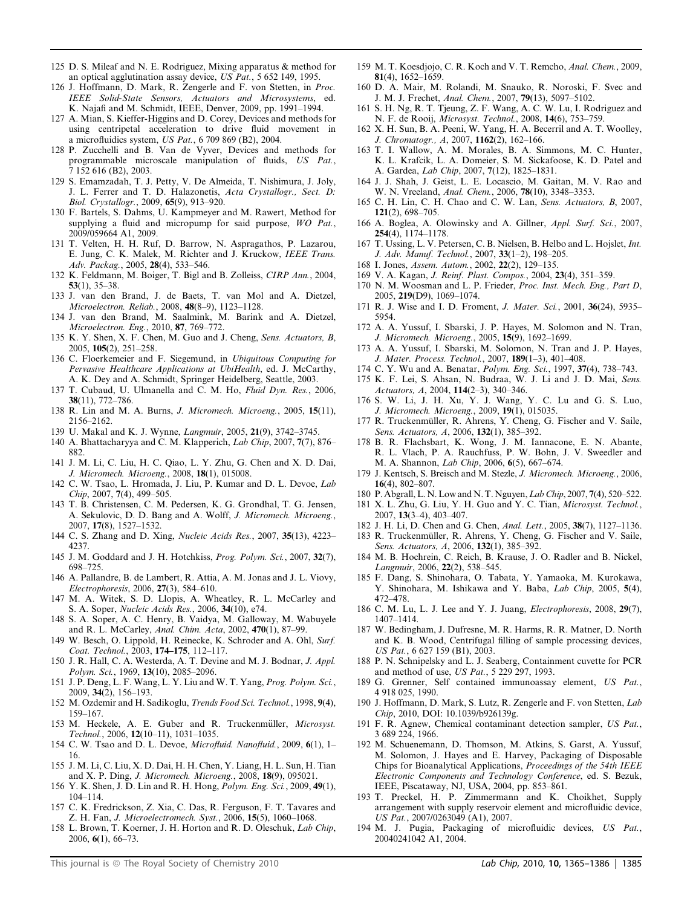- 125 D. S. Mileaf and N. E. Rodriguez, Mixing apparatus & method for an optical agglutination assay device, US Pat., 5 652 149, 1995.
- 126 J. Hoffmann, D. Mark, R. Zengerle and F. von Stetten, in Proc. IEEE Solid-State Sensors, Actuators and Microsystems, ed. K. Najafi and M. Schmidt, IEEE, Denver, 2009, pp. 1991–1994.
- 127 A. Mian, S. Kieffer-Higgins and D. Corey, Devices and methods for using centripetal acceleration to drive fluid movement in a microfluidics system, US Pat., 6 709 869 (B2), 2004.
- 128 P. Zucchelli and B. Van de Vyver, Devices and methods for programmable microscale manipulation of fluids, US Pat., 7 152 616 (B2), 2003.
- 129 S. Emamzadah, T. J. Petty, V. De Almeida, T. Nishimura, J. Joly, J. L. Ferrer and T. D. Halazonetis, Acta Crystallogr., Sect. D: Biol. Crystallogr., 2009, 65(9), 913–920.
- 130 F. Bartels, S. Dahms, U. Kampmeyer and M. Rawert, Method for supplying a fluid and micropump for said purpose, WO Pat., 2009/059664 A1, 2009.
- 131 T. Velten, H. H. Ruf, D. Barrow, N. Aspragathos, P. Lazarou, E. Jung, C. K. Malek, M. Richter and J. Kruckow, IEEE Trans. Adv. Packag., 2005, 28(4), 533-546.
- 132 K. Feldmann, M. Boiger, T. Bigl and B. Zolleiss, CIRP Ann., 2004, 53(1), 35–38.
- 133 J. van den Brand, J. de Baets, T. van Mol and A. Dietzel, Microelectron. Reliab., 2008, 48(8–9), 1123–1128.
- 134 J. van den Brand, M. Saalmink, M. Barink and A. Dietzel, Microelectron. Eng., 2010, 87, 769–772.
- 135 K. Y. Shen, X. F. Chen, M. Guo and J. Cheng, Sens. Actuators, B, 2005, 105(2), 251–258.
- 136 C. Floerkemeier and F. Siegemund, in Ubiquitous Computing for Pervasive Healthcare Applications at UbiHealth, ed. J. McCarthy, A. K. Dey and A. Schmidt, Springer Heidelberg, Seattle, 2003.
- 137 T. Cubaud, U. Ulmanella and C. M. Ho, Fluid Dyn. Res., 2006, 38(11), 772–786.
- 138 R. Lin and M. A. Burns, J. Micromech. Microeng., 2005, 15(11), 2156–2162.
- 139 U. Makal and K. J. Wynne, Langmuir, 2005, 21(9), 3742–3745.
- 140 A. Bhattacharyya and C. M. Klapperich, Lab Chip, 2007, 7(7), 876– 882.
- 141 J. M. Li, C. Liu, H. C. Qiao, L. Y. Zhu, G. Chen and X. D. Dai, J. Micromech. Microeng., 2008, 18(1), 015008.
- 142 C. W. Tsao, L. Hromada, J. Liu, P. Kumar and D. L. Devoe, Lab Chip, 2007, 7(4), 499–505.
- 143 T. B. Christensen, C. M. Pedersen, K. G. Grondhal, T. G. Jensen, A. Sekulovic, D. D. Bang and A. Wolff, J. Micromech. Microeng., 2007, 17(8), 1527–1532.
- 144 C. S. Zhang and D. Xing, Nucleic Acids Res., 2007, 35(13), 4223– 4237.
- 145 J. M. Goddard and J. H. Hotchkiss, Prog. Polym. Sci., 2007, 32(7), 698–725.
- 146 A. Pallandre, B. de Lambert, R. Attia, A. M. Jonas and J. L. Viovy, Electrophoresis, 2006, 27(3), 584–610.
- 147 M. A. Witek, S. D. Llopis, A. Wheatley, R. L. McCarley and S. A. Soper, Nucleic Acids Res., 2006, 34(10), e74.
- 148 S. A. Soper, A. C. Henry, B. Vaidya, M. Galloway, M. Wabuyele and R. L. McCarley, Anal. Chim. Acta, 2002, 470(1), 87-99.
- 149 W. Besch, O. Lippold, H. Reinecke, K. Schroder and A. Ohl, Surf. Coat. Technol., 2003, 174–175, 112–117.
- 150 J. R. Hall, C. A. Westerda, A. T. Devine and M. J. Bodnar, J. Appl. Polym. Sci., 1969, 13(10), 2085–2096.
- 151 J. P. Deng, L. F. Wang, L. Y. Liu and W. T. Yang, Prog. Polym. Sci., 2009, 34(2), 156–193.
- 152 M. Ozdemir and H. Sadikoglu, Trends Food Sci. Technol., 1998, 9(4), 159–167.
- 153 M. Heckele, A. E. Guber and R. Truckenmüller, Microsyst. Technol., 2006, 12(10–11), 1031–1035.
- 154 C. W. Tsao and D. L. Devoe, Microfluid. Nanofluid., 2009, 6(1), 1– 16.
- 155 J. M. Li, C. Liu, X. D. Dai, H. H. Chen, Y. Liang, H. L. Sun, H. Tian and X. P. Ding, J. Micromech. Microeng., 2008, 18(9), 095021.
- 156 Y. K. Shen, J. D. Lin and R. H. Hong, Polym. Eng. Sci., 2009, 49(1), 104–114.
- 157 C. K. Fredrickson, Z. Xia, C. Das, R. Ferguson, F. T. Tavares and Z. H. Fan, J. Microelectromech. Syst., 2006, 15(5), 1060–1068.
- 158 L. Brown, T. Koerner, J. H. Horton and R. D. Oleschuk, Lab Chip, 2006, 6(1), 66–73.
- 159 M. T. Koesdjojo, C. R. Koch and V. T. Remcho, Anal. Chem., 2009, 81(4), 1652–1659.
- 160 D. A. Mair, M. Rolandi, M. Snauko, R. Noroski, F. Svec and J. M. J. Frechet, Anal. Chem., 2007, 79(13), 5097–5102.
- 161 S. H. Ng, R. T. Tjeung, Z. F. Wang, A. C. W. Lu, I. Rodriguez and N. F. de Rooij, Microsyst. Technol., 2008, 14(6), 753–759.
- 162 X. H. Sun, B. A. Peeni, W. Yang, H. A. Becerril and A. T. Woolley, J. Chromatogr., A, 2007, 1162(2), 162–166.
- 163 T. I. Wallow, A. M. Morales, B. A. Simmons, M. C. Hunter, K. L. Krafcik, L. A. Domeier, S. M. Sickafoose, K. D. Patel and A. Gardea, Lab Chip, 2007, 7(12), 1825–1831.
- 164 J. J. Shah, J. Geist, L. E. Locascio, M. Gaitan, M. V. Rao and W. N. Vreeland, Anal. Chem., 2006, 78(10), 3348–3353.
- 165 C. H. Lin, C. H. Chao and C. W. Lan, Sens. Actuators, B, 2007, 121(2), 698–705.
- 166 A. Boglea, A. Olowinsky and A. Gillner, Appl. Surf. Sci., 2007, 254(4), 1174–1178.
- 167 T. Ussing, L. V. Petersen, C. B. Nielsen, B. Helbo and L. Hojslet, Int. J. Adv. Manuf. Technol., 2007, 33(1–2), 198–205.
- 168 I. Jones, Assem. Autom., 2002, 22(2), 129–135.
- 169 V. A. Kagan, J. Reinf. Plast. Compos., 2004, 23(4), 351–359.
- 170 N. M. Woosman and L. P. Frieder, Proc. Inst. Mech. Eng., Part D, 2005, 219(D9), 1069–1074.
- 171 R. J. Wise and I. D. Froment, *J. Mater. Sci.*, 2001, 36(24), 5935– 5954.
- 172 A. A. Yussuf, I. Sbarski, J. P. Hayes, M. Solomon and N. Tran, J. Micromech. Microeng., 2005, 15(9), 1692–1699.
- 173 A. A. Yussuf, I. Sbarski, M. Solomon, N. Tran and J. P. Hayes, J. Mater. Process. Technol., 2007, 189(1–3), 401–408.
- 174 C. Y. Wu and A. Benatar, Polym. Eng. Sci., 1997, 37(4), 738–743.
- 175 K. F. Lei, S. Ahsan, N. Budraa, W. J. Li and J. D. Mai, Sens. Actuators, A, 2004, 114(2–3), 340–346.
- 176 S. W. Li, J. H. Xu, Y. J. Wang, Y. C. Lu and G. S. Luo, J. Micromech. Microeng., 2009, 19(1), 015035.
- 177 R. Truckenmüller, R. Ahrens, Y. Cheng, G. Fischer and V. Saile, Sens. Actuators, A, 2006, 132(1), 385-392.
- 178 B. R. Flachsbart, K. Wong, J. M. Iannacone, E. N. Abante, R. L. Vlach, P. A. Rauchfuss, P. W. Bohn, J. V. Sweedler and M. A. Shannon, Lab Chip, 2006, 6(5), 667–674.
- 179 J. Kentsch, S. Breisch and M. Stezle, J. Micromech. Microeng., 2006, 16(4), 802–807.
- 180 P. Abgrall, L. N. Low and N. T. Nguyen,Lab Chip, 2007, 7(4), 520–522.
- 181 X. L. Zhu, G. Liu, Y. H. Guo and Y. C. Tian, Microsyst. Technol., 2007, 13(3–4), 403–407.
- 182 J. H. Li, D. Chen and G. Chen, Anal. Lett., 2005, 38(7), 1127–1136.
- 183 R. Truckenmüller, R. Ahrens, Y. Cheng, G. Fischer and V. Saile, Sens. Actuators, A, 2006, 132(1), 385-392.
- 184 M. B. Hochrein, C. Reich, B. Krause, J. O. Radler and B. Nickel, Langmuir, 2006, 22(2), 538–545.
- 185 F. Dang, S. Shinohara, O. Tabata, Y. Yamaoka, M. Kurokawa, Y. Shinohara, M. Ishikawa and Y. Baba, Lab Chip, 2005, 5(4), 472–478.
- 186 C. M. Lu, L. J. Lee and Y. J. Juang, Electrophoresis, 2008, 29(7), 1407–1414.
- 187 W. Bedingham, J. Dufresne, M. R. Harms, R. R. Matner, D. North and K. B. Wood, Centrifugal filling of sample processing devices, US Pat., 6 627 159 (B1), 2003.
- 188 P. N. Schnipelsky and L. J. Seaberg, Containment cuvette for PCR and method of use, US Pat., 5 229 297, 1993.
- 189 G. Grenner, Self contained immunoassay element, US Pat., 4 918 025, 1990.
- 190 J. Hoffmann, D. Mark, S. Lutz, R. Zengerle and F. von Stetten, Lab Chip, 2010, DOI: 10.1039/b926139g.
- 191 F. R. Agnew, Chemical contaminant detection sampler, US Pat., 3 689 224, 1966.
- 192 M. Schuenemann, D. Thomson, M. Atkins, S. Garst, A. Yussuf, M. Solomon, J. Hayes and E. Harvey, Packaging of Disposable Chips for Bioanalytical Applications, Proceedings of the 54th IEEE Electronic Components and Technology Conference, ed. S. Bezuk, IEEE, Piscataway, NJ, USA, 2004, pp. 853–861.
- 193 T. Preckel, H. P. Zimmermann and K. Choikhet, Supply arrangement with supply reservoir element and microfluidic device, US Pat., 2007/0263049 (A1), 2007.
- 194 M. J. Pugia, Packaging of microfluidic devices, US Pat., 20040241042 A1, 2004.